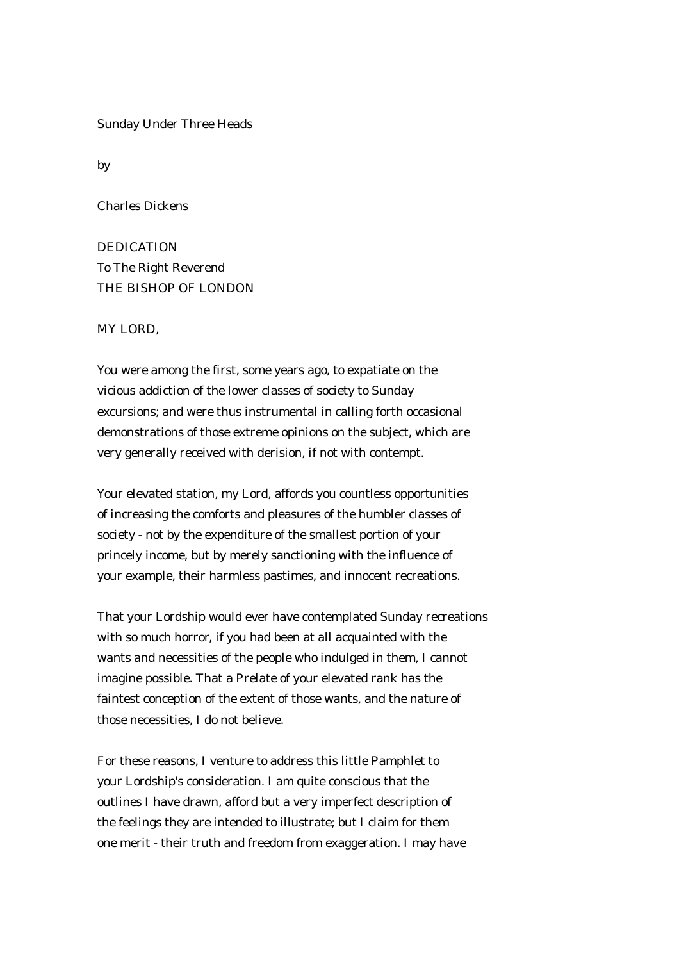Sunday Under Three Heads

by

Charles Dickens

DEDICATION To The Right Reverend THE BISHOP OF LONDON

MY LORD,

You were among the first, some years ago, to expatiate on the vicious addiction of the lower classes of society to Sunday excursions; and were thus instrumental in calling forth occasional demonstrations of those extreme opinions on the subject, which are very generally received with derision, if not with contempt.

Your elevated station, my Lord, affords you countless opportunities of increasing the comforts and pleasures of the humbler classes of society - not by the expenditure of the smallest portion of your princely income, but by merely sanctioning with the influence of your example, their harmless pastimes, and innocent recreations.

That your Lordship would ever have contemplated Sunday recreations with so much horror, if you had been at all acquainted with the wants and necessities of the people who indulged in them, I cannot imagine possible. That a Prelate of your elevated rank has the faintest conception of the extent of those wants, and the nature of those necessities, I do not believe.

For these reasons, I venture to address this little Pamphlet to your Lordship's consideration. I am quite conscious that the outlines I have drawn, afford but a very imperfect description of the feelings they are intended to illustrate; but I claim for them one merit - their truth and freedom from exaggeration. I may have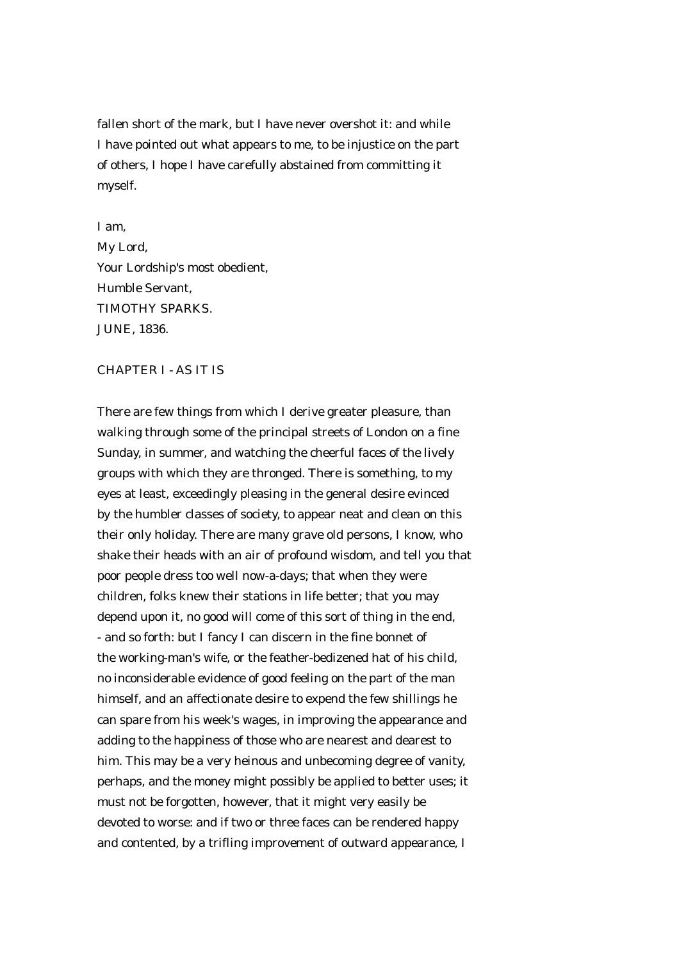fallen short of the mark, but I have never overshot it: and while I have pointed out what appears to me, to be injustice on the part of others, I hope I have carefully abstained from committing it myself.

I am, My Lord, Your Lordship's most obedient, Humble Servant, TIMOTHY SPARKS. JUNE, 1836.

## CHAPTER I - AS IT IS

There are few things from which I derive greater pleasure, than walking through some of the principal streets of London on a fine Sunday, in summer, and watching the cheerful faces of the lively groups with which they are thronged. There is something, to my eyes at least, exceedingly pleasing in the general desire evinced by the humbler classes of society, to appear neat and clean on this their only holiday. There are many grave old persons, I know, who shake their heads with an air of profound wisdom, and tell you that poor people dress too well now-a-days; that when they were children, folks knew their stations in life better; that you may depend upon it, no good will come of this sort of thing in the end, - and so forth: but I fancy I can discern in the fine bonnet of the working-man's wife, or the feather-bedizened hat of his child, no inconsiderable evidence of good feeling on the part of the man himself, and an affectionate desire to expend the few shillings he can spare from his week's wages, in improving the appearance and adding to the happiness of those who are nearest and dearest to him. This may be a very heinous and unbecoming degree of vanity, perhaps, and the money might possibly be applied to better uses; it must not be forgotten, however, that it might very easily be devoted to worse: and if two or three faces can be rendered happy and contented, by a trifling improvement of outward appearance, I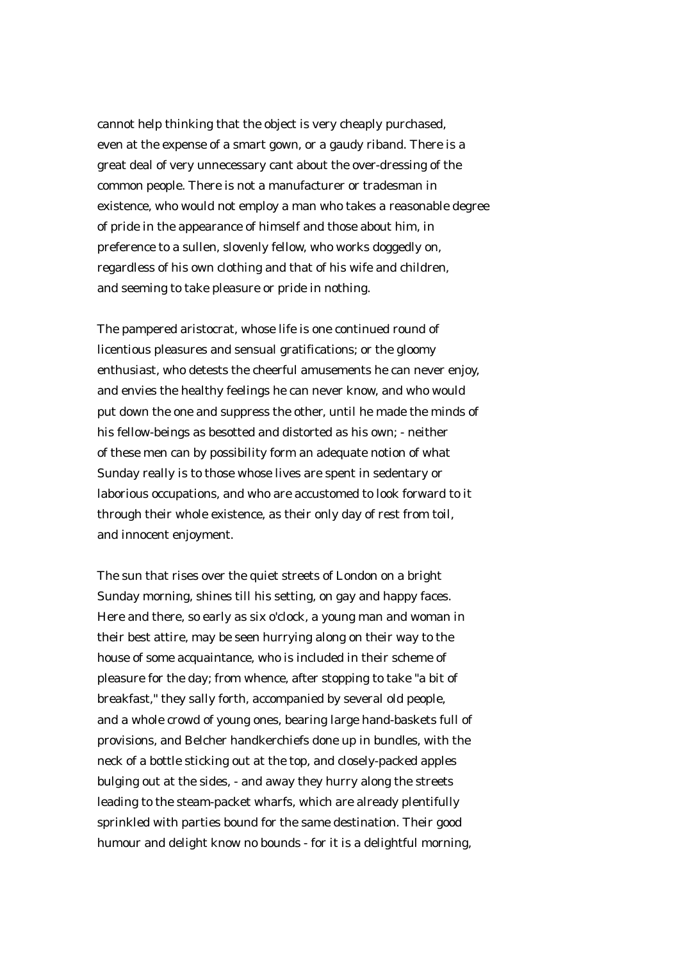cannot help thinking that the object is very cheaply purchased, even at the expense of a smart gown, or a gaudy riband. There is a great deal of very unnecessary cant about the over-dressing of the common people. There is not a manufacturer or tradesman in existence, who would not employ a man who takes a reasonable degree of pride in the appearance of himself and those about him, in preference to a sullen, slovenly fellow, who works doggedly on, regardless of his own clothing and that of his wife and children, and seeming to take pleasure or pride in nothing.

The pampered aristocrat, whose life is one continued round of licentious pleasures and sensual gratifications; or the gloomy enthusiast, who detests the cheerful amusements he can never enjoy, and envies the healthy feelings he can never know, and who would put down the one and suppress the other, until he made the minds of his fellow-beings as besotted and distorted as his own; - neither of these men can by possibility form an adequate notion of what Sunday really is to those whose lives are spent in sedentary or laborious occupations, and who are accustomed to look forward to it through their whole existence, as their only day of rest from toil, and innocent enjoyment.

The sun that rises over the quiet streets of London on a bright Sunday morning, shines till his setting, on gay and happy faces. Here and there, so early as six o'clock, a young man and woman in their best attire, may be seen hurrying along on their way to the house of some acquaintance, who is included in their scheme of pleasure for the day; from whence, after stopping to take "a bit of breakfast," they sally forth, accompanied by several old people, and a whole crowd of young ones, bearing large hand-baskets full of provisions, and Belcher handkerchiefs done up in bundles, with the neck of a bottle sticking out at the top, and closely-packed apples bulging out at the sides, - and away they hurry along the streets leading to the steam-packet wharfs, which are already plentifully sprinkled with parties bound for the same destination. Their good humour and delight know no bounds - for it is a delightful morning,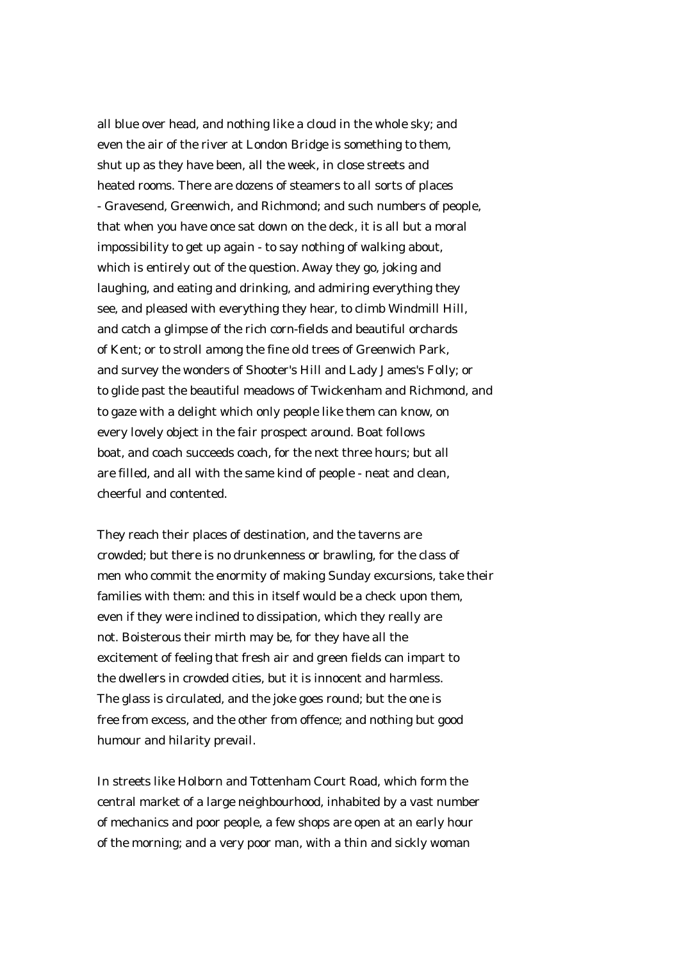all blue over head, and nothing like a cloud in the whole sky; and even the air of the river at London Bridge is something to them, shut up as they have been, all the week, in close streets and heated rooms. There are dozens of steamers to all sorts of places - Gravesend, Greenwich, and Richmond; and such numbers of people, that when you have once sat down on the deck, it is all but a moral impossibility to get up again - to say nothing of walking about, which is entirely out of the question. Away they go, joking and laughing, and eating and drinking, and admiring everything they see, and pleased with everything they hear, to climb Windmill Hill, and catch a glimpse of the rich corn-fields and beautiful orchards of Kent; or to stroll among the fine old trees of Greenwich Park, and survey the wonders of Shooter's Hill and Lady James's Folly; or to glide past the beautiful meadows of Twickenham and Richmond, and to gaze with a delight which only people like them can know, on every lovely object in the fair prospect around. Boat follows boat, and coach succeeds coach, for the next three hours; but all are filled, and all with the same kind of people - neat and clean, cheerful and contented.

They reach their places of destination, and the taverns are crowded; but there is no drunkenness or brawling, for the class of men who commit the enormity of making Sunday excursions, take their families with them: and this in itself would be a check upon them, even if they were inclined to dissipation, which they really are not. Boisterous their mirth may be, for they have all the excitement of feeling that fresh air and green fields can impart to the dwellers in crowded cities, but it is innocent and harmless. The glass is circulated, and the joke goes round; but the one is free from excess, and the other from offence; and nothing but good humour and hilarity prevail.

In streets like Holborn and Tottenham Court Road, which form the central market of a large neighbourhood, inhabited by a vast number of mechanics and poor people, a few shops are open at an early hour of the morning; and a very poor man, with a thin and sickly woman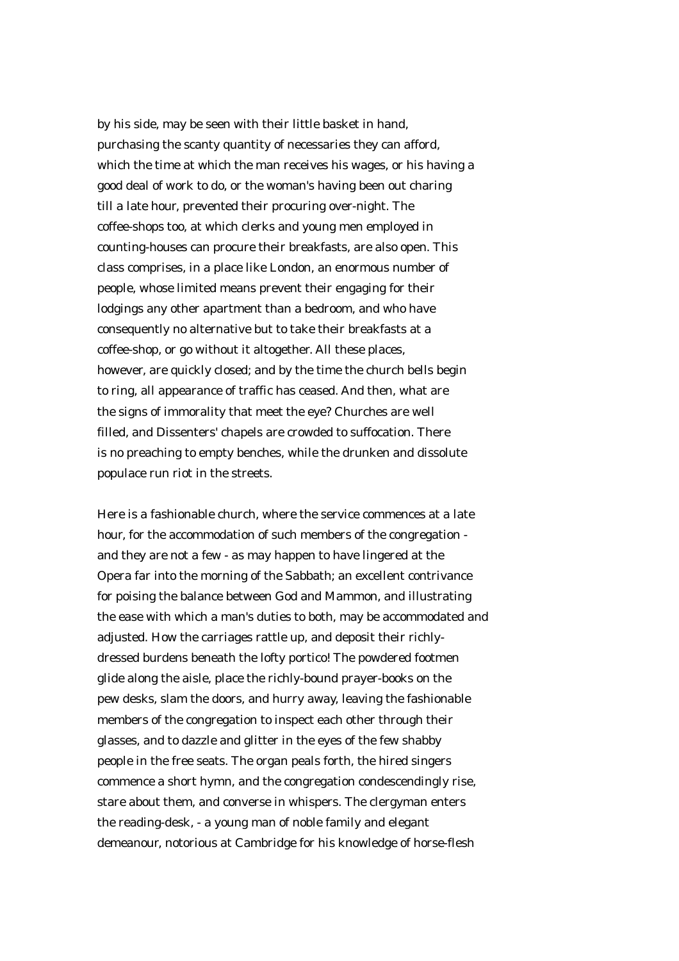by his side, may be seen with their little basket in hand, purchasing the scanty quantity of necessaries they can afford, which the time at which the man receives his wages, or his having a good deal of work to do, or the woman's having been out charing till a late hour, prevented their procuring over-night. The coffee-shops too, at which clerks and young men employed in counting-houses can procure their breakfasts, are also open. This class comprises, in a place like London, an enormous number of people, whose limited means prevent their engaging for their lodgings any other apartment than a bedroom, and who have consequently no alternative but to take their breakfasts at a coffee-shop, or go without it altogether. All these places, however, are quickly closed; and by the time the church bells begin to ring, all appearance of traffic has ceased. And then, what are the signs of immorality that meet the eye? Churches are well filled, and Dissenters' chapels are crowded to suffocation. There is no preaching to empty benches, while the drunken and dissolute populace run riot in the streets.

Here is a fashionable church, where the service commences at a late hour, for the accommodation of such members of the congregation and they are not a few - as may happen to have lingered at the Opera far into the morning of the Sabbath; an excellent contrivance for poising the balance between God and Mammon, and illustrating the ease with which a man's duties to both, may be accommodated and adjusted. How the carriages rattle up, and deposit their richlydressed burdens beneath the lofty portico! The powdered footmen glide along the aisle, place the richly-bound prayer-books on the pew desks, slam the doors, and hurry away, leaving the fashionable members of the congregation to inspect each other through their glasses, and to dazzle and glitter in the eyes of the few shabby people in the free seats. The organ peals forth, the hired singers commence a short hymn, and the congregation condescendingly rise, stare about them, and converse in whispers. The clergyman enters the reading-desk, - a young man of noble family and elegant demeanour, notorious at Cambridge for his knowledge of horse-flesh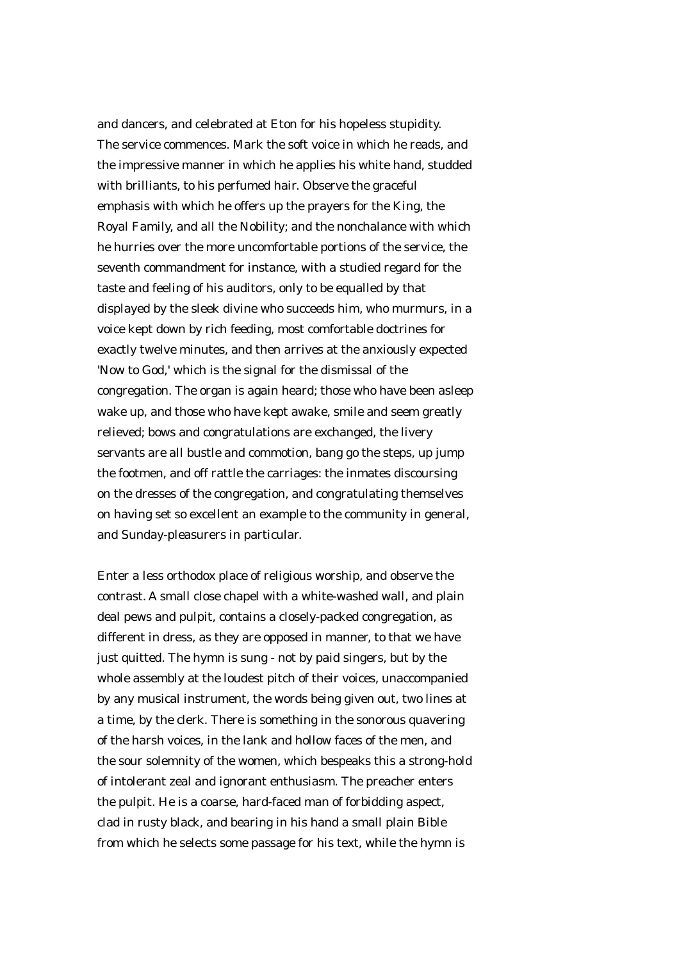and dancers, and celebrated at Eton for his hopeless stupidity. The service commences. Mark the soft voice in which he reads, and the impressive manner in which he applies his white hand, studded with brilliants, to his perfumed hair. Observe the graceful emphasis with which he offers up the prayers for the King, the Royal Family, and all the Nobility; and the nonchalance with which he hurries over the more uncomfortable portions of the service, the seventh commandment for instance, with a studied regard for the taste and feeling of his auditors, only to be equalled by that displayed by the sleek divine who succeeds him, who murmurs, in a voice kept down by rich feeding, most comfortable doctrines for exactly twelve minutes, and then arrives at the anxiously expected 'Now to God,' which is the signal for the dismissal of the congregation. The organ is again heard; those who have been asleep wake up, and those who have kept awake, smile and seem greatly relieved; bows and congratulations are exchanged, the livery servants are all bustle and commotion, bang go the steps, up jump the footmen, and off rattle the carriages: the inmates discoursing on the dresses of the congregation, and congratulating themselves on having set so excellent an example to the community in general, and Sunday-pleasurers in particular.

Enter a less orthodox place of religious worship, and observe the contrast. A small close chapel with a white-washed wall, and plain deal pews and pulpit, contains a closely-packed congregation, as different in dress, as they are opposed in manner, to that we have just quitted. The hymn is sung - not by paid singers, but by the whole assembly at the loudest pitch of their voices, unaccompanied by any musical instrument, the words being given out, two lines at a time, by the clerk. There is something in the sonorous quavering of the harsh voices, in the lank and hollow faces of the men, and the sour solemnity of the women, which bespeaks this a strong-hold of intolerant zeal and ignorant enthusiasm. The preacher enters the pulpit. He is a coarse, hard-faced man of forbidding aspect, clad in rusty black, and bearing in his hand a small plain Bible from which he selects some passage for his text, while the hymn is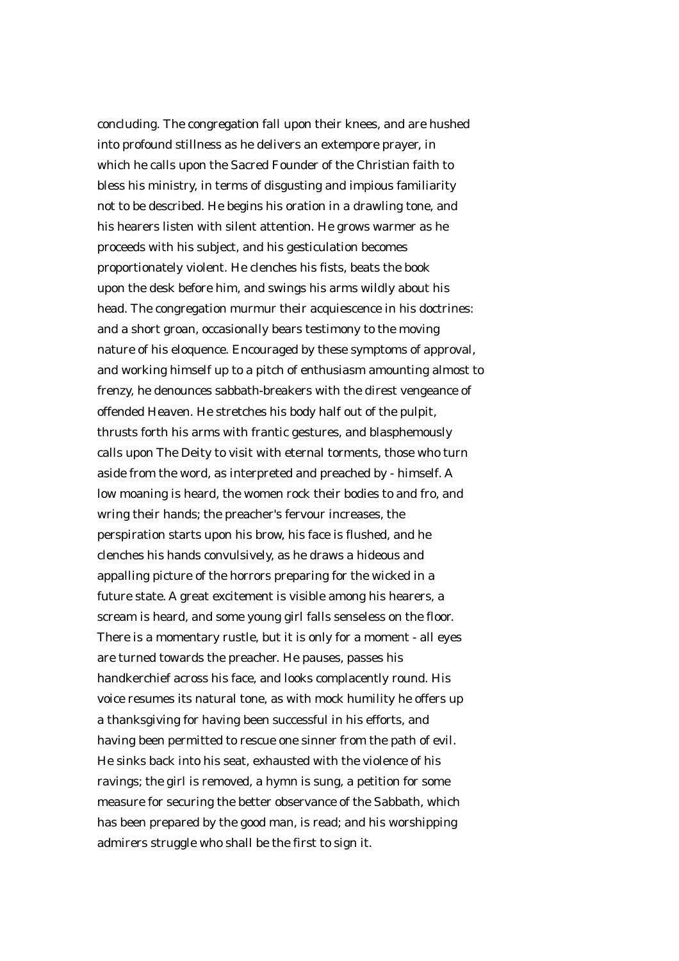concluding. The congregation fall upon their knees, and are hushed into profound stillness as he delivers an extempore prayer, in which he calls upon the Sacred Founder of the Christian faith to bless his ministry, in terms of disgusting and impious familiarity not to be described. He begins his oration in a drawling tone, and his hearers listen with silent attention. He grows warmer as he proceeds with his subject, and his gesticulation becomes proportionately violent. He clenches his fists, beats the book upon the desk before him, and swings his arms wildly about his head. The congregation murmur their acquiescence in his doctrines: and a short groan, occasionally bears testimony to the moving nature of his eloquence. Encouraged by these symptoms of approval, and working himself up to a pitch of enthusiasm amounting almost to frenzy, he denounces sabbath-breakers with the direst vengeance of offended Heaven. He stretches his body half out of the pulpit, thrusts forth his arms with frantic gestures, and blasphemously calls upon The Deity to visit with eternal torments, those who turn aside from the word, as interpreted and preached by - himself. A low moaning is heard, the women rock their bodies to and fro, and wring their hands; the preacher's fervour increases, the perspiration starts upon his brow, his face is flushed, and he clenches his hands convulsively, as he draws a hideous and appalling picture of the horrors preparing for the wicked in a future state. A great excitement is visible among his hearers, a scream is heard, and some young girl falls senseless on the floor. There is a momentary rustle, but it is only for a moment - all eyes are turned towards the preacher. He pauses, passes his handkerchief across his face, and looks complacently round. His voice resumes its natural tone, as with mock humility he offers up a thanksgiving for having been successful in his efforts, and having been permitted to rescue one sinner from the path of evil. He sinks back into his seat, exhausted with the violence of his ravings; the girl is removed, a hymn is sung, a petition for some measure for securing the better observance of the Sabbath, which has been prepared by the good man, is read; and his worshipping admirers struggle who shall be the first to sign it.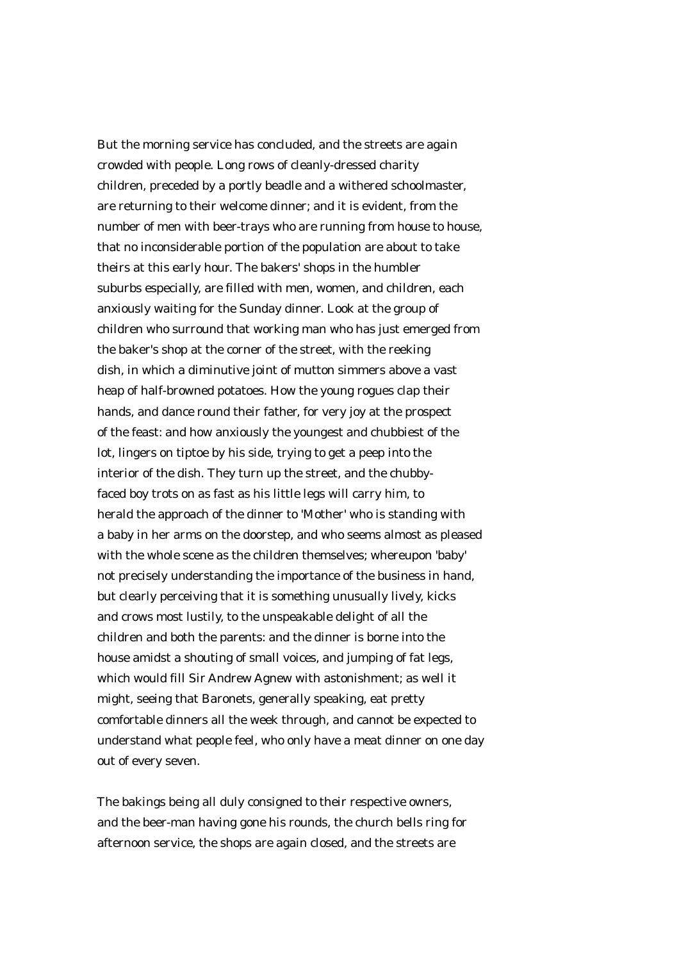But the morning service has concluded, and the streets are again crowded with people. Long rows of cleanly-dressed charity children, preceded by a portly beadle and a withered schoolmaster, are returning to their welcome dinner; and it is evident, from the number of men with beer-trays who are running from house to house, that no inconsiderable portion of the population are about to take theirs at this early hour. The bakers' shops in the humbler suburbs especially, are filled with men, women, and children, each anxiously waiting for the Sunday dinner. Look at the group of children who surround that working man who has just emerged from the baker's shop at the corner of the street, with the reeking dish, in which a diminutive joint of mutton simmers above a vast heap of half-browned potatoes. How the young rogues clap their hands, and dance round their father, for very joy at the prospect of the feast: and how anxiously the youngest and chubbiest of the lot, lingers on tiptoe by his side, trying to get a peep into the interior of the dish. They turn up the street, and the chubbyfaced boy trots on as fast as his little legs will carry him, to herald the approach of the dinner to 'Mother' who is standing with a baby in her arms on the doorstep, and who seems almost as pleased with the whole scene as the children themselves; whereupon 'baby' not precisely understanding the importance of the business in hand, but clearly perceiving that it is something unusually lively, kicks and crows most lustily, to the unspeakable delight of all the children and both the parents: and the dinner is borne into the house amidst a shouting of small voices, and jumping of fat legs, which would fill Sir Andrew Agnew with astonishment; as well it might, seeing that Baronets, generally speaking, eat pretty comfortable dinners all the week through, and cannot be expected to understand what people feel, who only have a meat dinner on one day out of every seven.

The bakings being all duly consigned to their respective owners, and the beer-man having gone his rounds, the church bells ring for afternoon service, the shops are again closed, and the streets are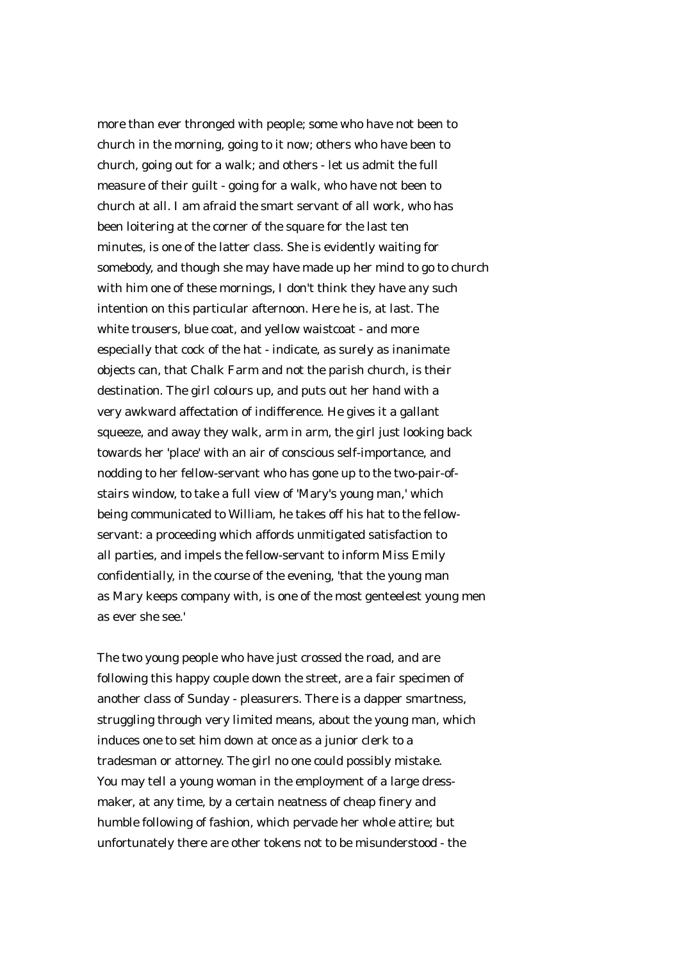more than ever thronged with people; some who have not been to church in the morning, going to it now; others who have been to church, going out for a walk; and others - let us admit the full measure of their guilt - going for a walk, who have not been to church at all. I am afraid the smart servant of all work, who has been loitering at the corner of the square for the last ten minutes, is one of the latter class. She is evidently waiting for somebody, and though she may have made up her mind to go to church with him one of these mornings, I don't think they have any such intention on this particular afternoon. Here he is, at last. The white trousers, blue coat, and yellow waistcoat - and more especially that cock of the hat - indicate, as surely as inanimate objects can, that Chalk Farm and not the parish church, is their destination. The girl colours up, and puts out her hand with a very awkward affectation of indifference. He gives it a gallant squeeze, and away they walk, arm in arm, the girl just looking back towards her 'place' with an air of conscious self-importance, and nodding to her fellow-servant who has gone up to the two-pair-ofstairs window, to take a full view of 'Mary's young man,' which being communicated to William, he takes off his hat to the fellowservant: a proceeding which affords unmitigated satisfaction to all parties, and impels the fellow-servant to inform Miss Emily confidentially, in the course of the evening, 'that the young man as Mary keeps company with, is one of the most genteelest young men as ever she see.'

The two young people who have just crossed the road, and are following this happy couple down the street, are a fair specimen of another class of Sunday - pleasurers. There is a dapper smartness, struggling through very limited means, about the young man, which induces one to set him down at once as a junior clerk to a tradesman or attorney. The girl no one could possibly mistake. You may tell a young woman in the employment of a large dressmaker, at any time, by a certain neatness of cheap finery and humble following of fashion, which pervade her whole attire; but unfortunately there are other tokens not to be misunderstood - the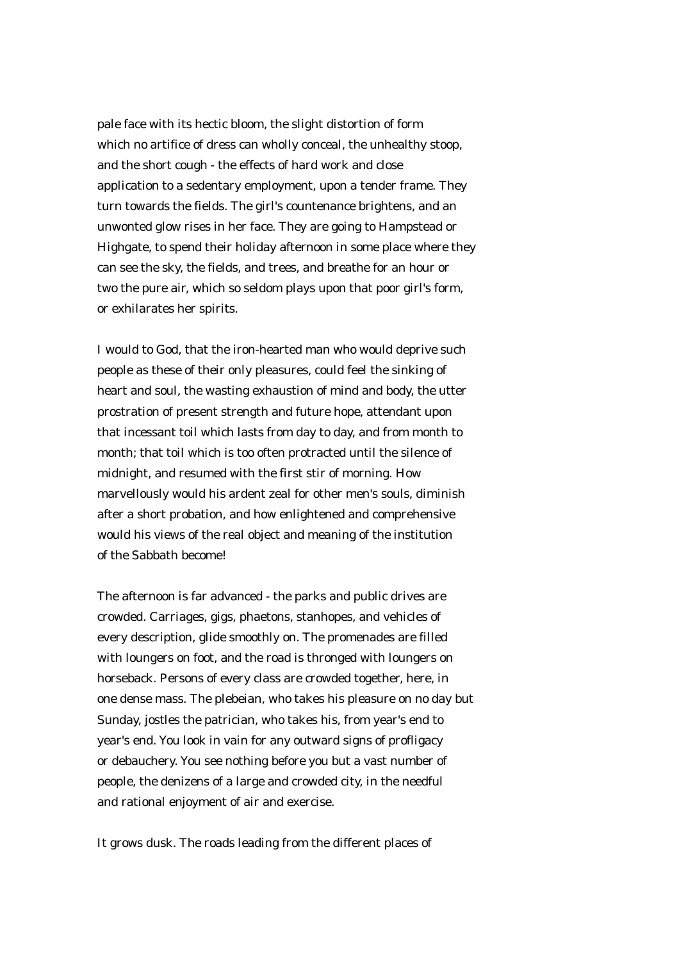pale face with its hectic bloom, the slight distortion of form which no artifice of dress can wholly conceal, the unhealthy stoop, and the short cough - the effects of hard work and close application to a sedentary employment, upon a tender frame. They turn towards the fields. The girl's countenance brightens, and an unwonted glow rises in her face. They are going to Hampstead or Highgate, to spend their holiday afternoon in some place where they can see the sky, the fields, and trees, and breathe for an hour or two the pure air, which so seldom plays upon that poor girl's form, or exhilarates her spirits.

I would to God, that the iron-hearted man who would deprive such people as these of their only pleasures, could feel the sinking of heart and soul, the wasting exhaustion of mind and body, the utter prostration of present strength and future hope, attendant upon that incessant toil which lasts from day to day, and from month to month; that toil which is too often protracted until the silence of midnight, and resumed with the first stir of morning. How marvellously would his ardent zeal for other men's souls, diminish after a short probation, and how enlightened and comprehensive would his views of the real object and meaning of the institution of the Sabbath become!

The afternoon is far advanced - the parks and public drives are crowded. Carriages, gigs, phaetons, stanhopes, and vehicles of every description, glide smoothly on. The promenades are filled with loungers on foot, and the road is thronged with loungers on horseback. Persons of every class are crowded together, here, in one dense mass. The plebeian, who takes his pleasure on no day but Sunday, jostles the patrician, who takes his, from year's end to year's end. You look in vain for any outward signs of profligacy or debauchery. You see nothing before you but a vast number of people, the denizens of a large and crowded city, in the needful and rational enjoyment of air and exercise.

It grows dusk. The roads leading from the different places of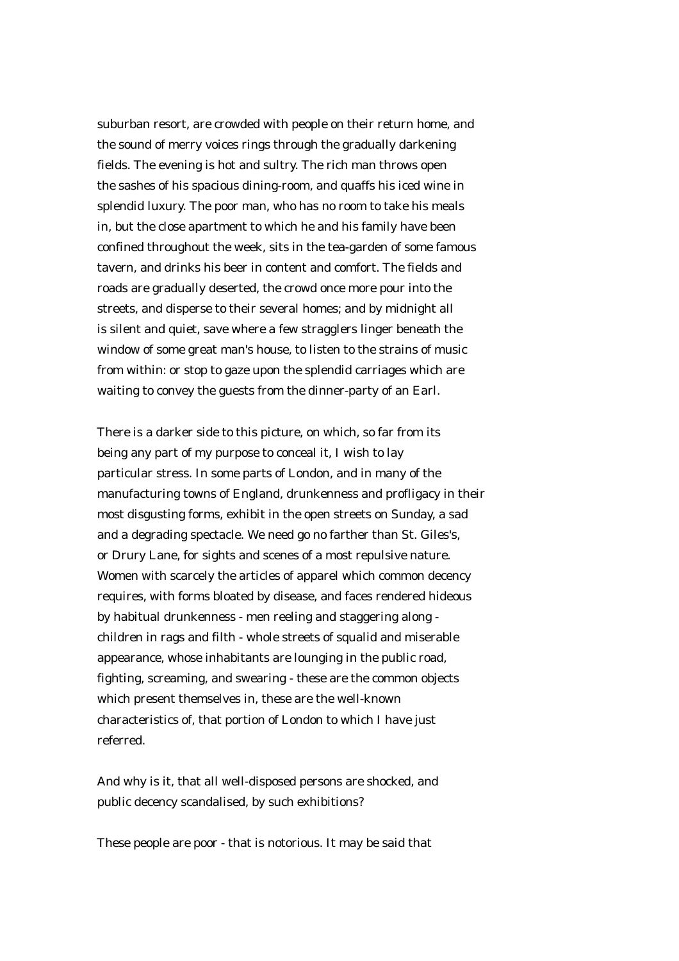suburban resort, are crowded with people on their return home, and the sound of merry voices rings through the gradually darkening fields. The evening is hot and sultry. The rich man throws open the sashes of his spacious dining-room, and quaffs his iced wine in splendid luxury. The poor man, who has no room to take his meals in, but the close apartment to which he and his family have been confined throughout the week, sits in the tea-garden of some famous tavern, and drinks his beer in content and comfort. The fields and roads are gradually deserted, the crowd once more pour into the streets, and disperse to their several homes; and by midnight all is silent and quiet, save where a few stragglers linger beneath the window of some great man's house, to listen to the strains of music from within: or stop to gaze upon the splendid carriages which are waiting to convey the guests from the dinner-party of an Earl.

There is a darker side to this picture, on which, so far from its being any part of my purpose to conceal it, I wish to lay particular stress. In some parts of London, and in many of the manufacturing towns of England, drunkenness and profligacy in their most disgusting forms, exhibit in the open streets on Sunday, a sad and a degrading spectacle. We need go no farther than St. Giles's, or Drury Lane, for sights and scenes of a most repulsive nature. Women with scarcely the articles of apparel which common decency requires, with forms bloated by disease, and faces rendered hideous by habitual drunkenness - men reeling and staggering along children in rags and filth - whole streets of squalid and miserable appearance, whose inhabitants are lounging in the public road, fighting, screaming, and swearing - these are the common objects which present themselves in, these are the well-known characteristics of, that portion of London to which I have just referred.

And why is it, that all well-disposed persons are shocked, and public decency scandalised, by such exhibitions?

These people are poor - that is notorious. It may be said that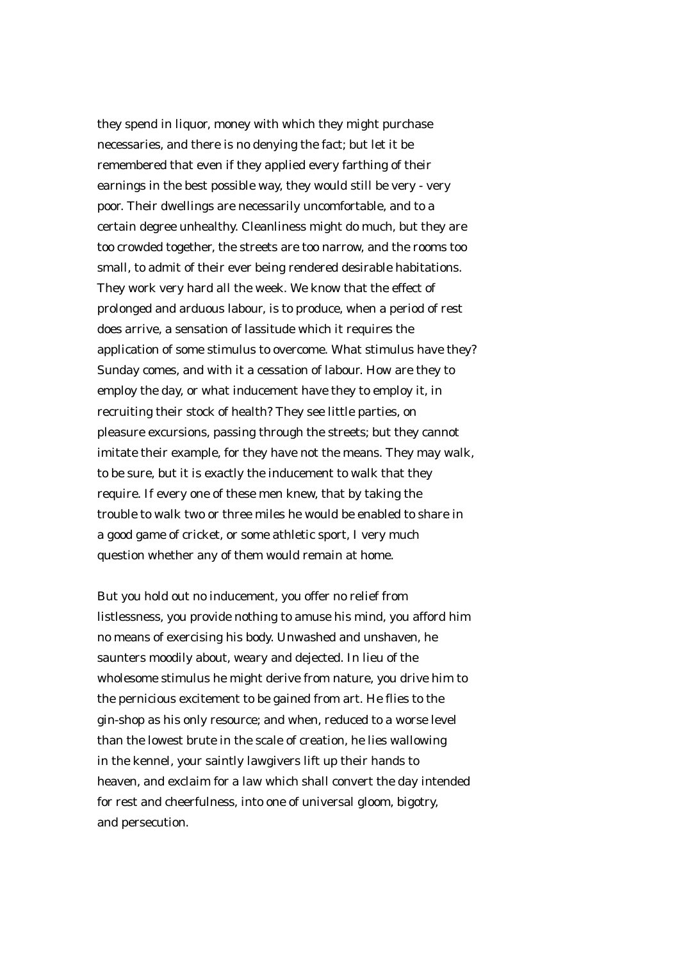they spend in liquor, money with which they might purchase necessaries, and there is no denying the fact; but let it be remembered that even if they applied every farthing of their earnings in the best possible way, they would still be very - very poor. Their dwellings are necessarily uncomfortable, and to a certain degree unhealthy. Cleanliness might do much, but they are too crowded together, the streets are too narrow, and the rooms too small, to admit of their ever being rendered desirable habitations. They work very hard all the week. We know that the effect of prolonged and arduous labour, is to produce, when a period of rest does arrive, a sensation of lassitude which it requires the application of some stimulus to overcome. What stimulus have they? Sunday comes, and with it a cessation of labour. How are they to employ the day, or what inducement have they to employ it, in recruiting their stock of health? They see little parties, on pleasure excursions, passing through the streets; but they cannot imitate their example, for they have not the means. They may walk, to be sure, but it is exactly the inducement to walk that they require. If every one of these men knew, that by taking the trouble to walk two or three miles he would be enabled to share in a good game of cricket, or some athletic sport, I very much question whether any of them would remain at home.

But you hold out no inducement, you offer no relief from listlessness, you provide nothing to amuse his mind, you afford him no means of exercising his body. Unwashed and unshaven, he saunters moodily about, weary and dejected. In lieu of the wholesome stimulus he might derive from nature, you drive him to the pernicious excitement to be gained from art. He flies to the gin-shop as his only resource; and when, reduced to a worse level than the lowest brute in the scale of creation, he lies wallowing in the kennel, your saintly lawgivers lift up their hands to heaven, and exclaim for a law which shall convert the day intended for rest and cheerfulness, into one of universal gloom, bigotry, and persecution.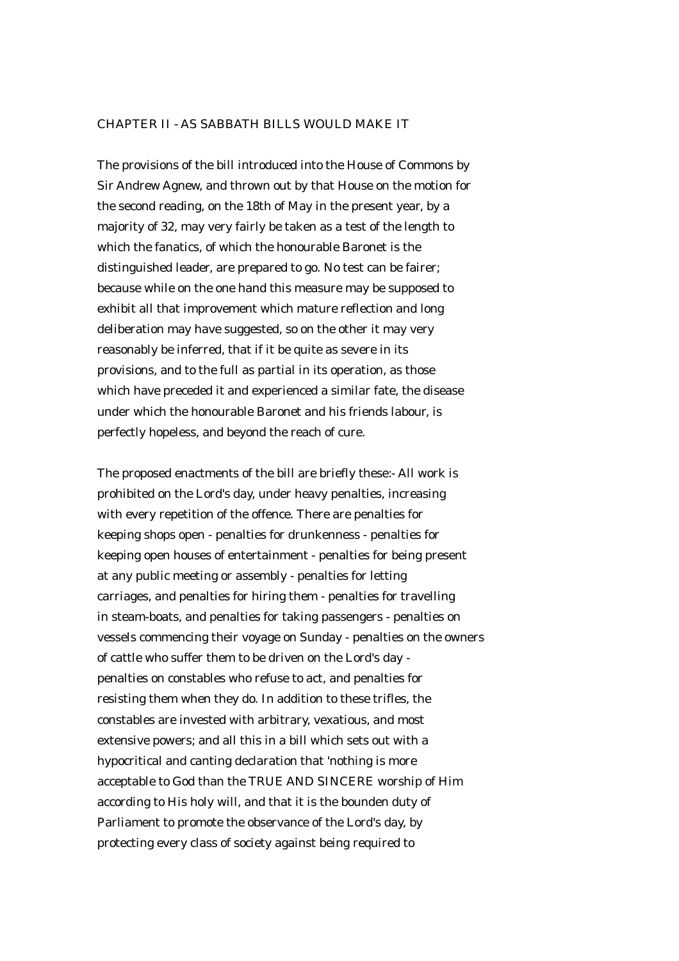## CHAPTER II - AS SABBATH BILLS WOULD MAKE IT

The provisions of the bill introduced into the House of Commons by Sir Andrew Agnew, and thrown out by that House on the motion for the second reading, on the 18th of May in the present year, by a majority of 32, may very fairly be taken as a test of the length to which the fanatics, of which the honourable Baronet is the distinguished leader, are prepared to go. No test can be fairer; because while on the one hand this measure may be supposed to exhibit all that improvement which mature reflection and long deliberation may have suggested, so on the other it may very reasonably be inferred, that if it be quite as severe in its provisions, and to the full as partial in its operation, as those which have preceded it and experienced a similar fate, the disease under which the honourable Baronet and his friends labour, is perfectly hopeless, and beyond the reach of cure.

The proposed enactments of the bill are briefly these:- All work is prohibited on the Lord's day, under heavy penalties, increasing with every repetition of the offence. There are penalties for keeping shops open - penalties for drunkenness - penalties for keeping open houses of entertainment - penalties for being present at any public meeting or assembly - penalties for letting carriages, and penalties for hiring them - penalties for travelling in steam-boats, and penalties for taking passengers - penalties on vessels commencing their voyage on Sunday - penalties on the owners of cattle who suffer them to be driven on the Lord's day penalties on constables who refuse to act, and penalties for resisting them when they do. In addition to these trifles, the constables are invested with arbitrary, vexatious, and most extensive powers; and all this in a bill which sets out with a hypocritical and canting declaration that 'nothing is more acceptable to God than the TRUE AND SINCERE worship of Him according to His holy will, and that it is the bounden duty of Parliament to promote the observance of the Lord's day, by protecting every class of society against being required to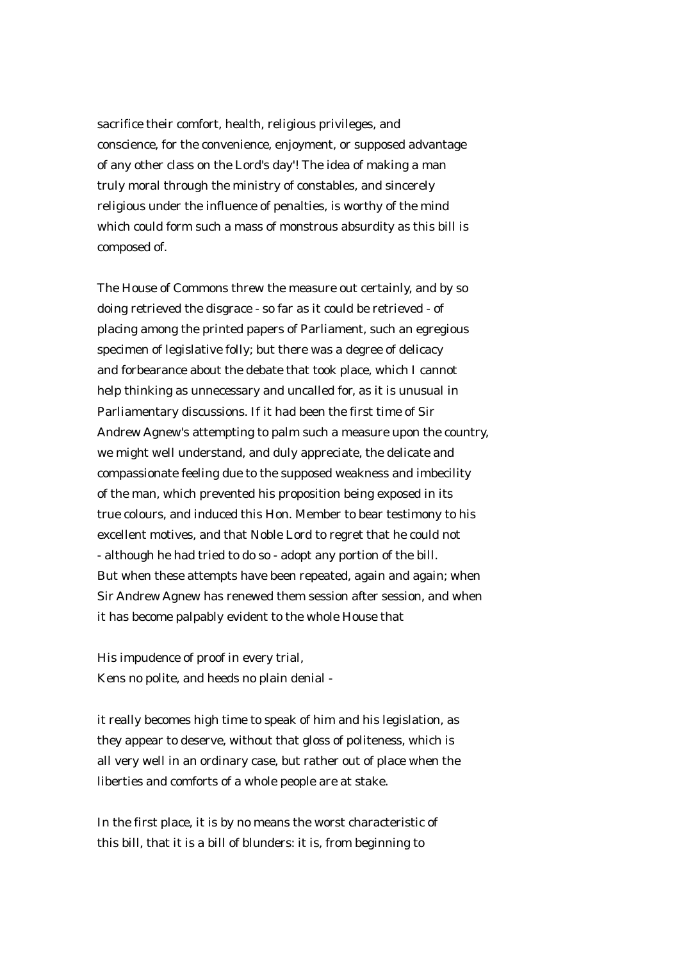sacrifice their comfort, health, religious privileges, and conscience, for the convenience, enjoyment, or supposed advantage of any other class on the Lord's day'! The idea of making a man truly moral through the ministry of constables, and sincerely religious under the influence of penalties, is worthy of the mind which could form such a mass of monstrous absurdity as this bill is composed of.

The House of Commons threw the measure out certainly, and by so doing retrieved the disgrace - so far as it could be retrieved - of placing among the printed papers of Parliament, such an egregious specimen of legislative folly; but there was a degree of delicacy and forbearance about the debate that took place, which I cannot help thinking as unnecessary and uncalled for, as it is unusual in Parliamentary discussions. If it had been the first time of Sir Andrew Agnew's attempting to palm such a measure upon the country, we might well understand, and duly appreciate, the delicate and compassionate feeling due to the supposed weakness and imbecility of the man, which prevented his proposition being exposed in its true colours, and induced this Hon. Member to bear testimony to his excellent motives, and that Noble Lord to regret that he could not - although he had tried to do so - adopt any portion of the bill. But when these attempts have been repeated, again and again; when Sir Andrew Agnew has renewed them session after session, and when it has become palpably evident to the whole House that

His impudence of proof in every trial, Kens no polite, and heeds no plain denial -

it really becomes high time to speak of him and his legislation, as they appear to deserve, without that gloss of politeness, which is all very well in an ordinary case, but rather out of place when the liberties and comforts of a whole people are at stake.

In the first place, it is by no means the worst characteristic of this bill, that it is a bill of blunders: it is, from beginning to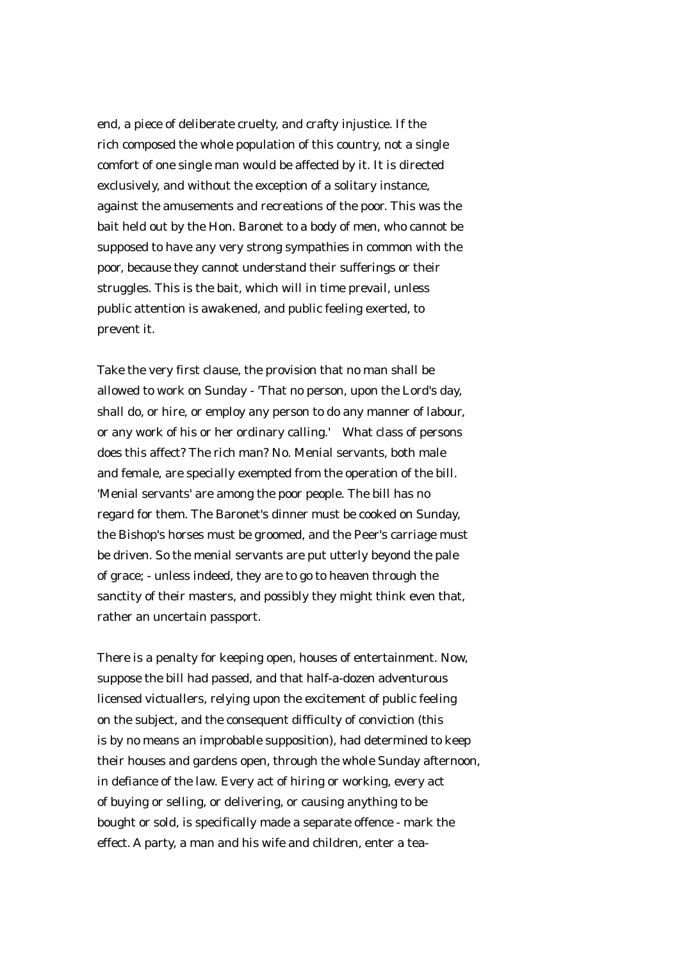end, a piece of deliberate cruelty, and crafty injustice. If the rich composed the whole population of this country, not a single comfort of one single man would be affected by it. It is directed exclusively, and without the exception of a solitary instance, against the amusements and recreations of the poor. This was the bait held out by the Hon. Baronet to a body of men, who cannot be supposed to have any very strong sympathies in common with the poor, because they cannot understand their sufferings or their struggles. This is the bait, which will in time prevail, unless public attention is awakened, and public feeling exerted, to prevent it.

Take the very first clause, the provision that no man shall be allowed to work on Sunday - 'That no person, upon the Lord's day, shall do, or hire, or employ any person to do any manner of labour, or any work of his or her ordinary calling.' What class of persons does this affect? The rich man? No. Menial servants, both male and female, are specially exempted from the operation of the bill. 'Menial servants' are among the poor people. The bill has no regard for them. The Baronet's dinner must be cooked on Sunday, the Bishop's horses must be groomed, and the Peer's carriage must be driven. So the menial servants are put utterly beyond the pale of grace; - unless indeed, they are to go to heaven through the sanctity of their masters, and possibly they might think even that, rather an uncertain passport.

There is a penalty for keeping open, houses of entertainment. Now, suppose the bill had passed, and that half-a-dozen adventurous licensed victuallers, relying upon the excitement of public feeling on the subject, and the consequent difficulty of conviction (this is by no means an improbable supposition), had determined to keep their houses and gardens open, through the whole Sunday afternoon, in defiance of the law. Every act of hiring or working, every act of buying or selling, or delivering, or causing anything to be bought or sold, is specifically made a separate offence - mark the effect. A party, a man and his wife and children, enter a tea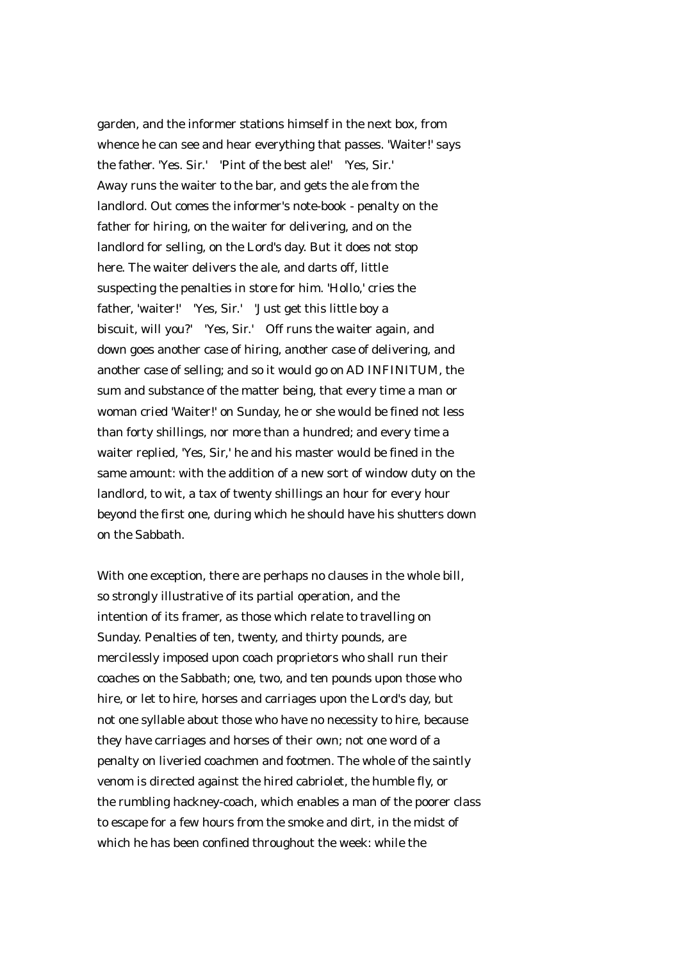garden, and the informer stations himself in the next box, from whence he can see and hear everything that passes. 'Waiter!' says the father. 'Yes. Sir.' 'Pint of the best ale!' 'Yes, Sir.' Away runs the waiter to the bar, and gets the ale from the landlord. Out comes the informer's note-book - penalty on the father for hiring, on the waiter for delivering, and on the landlord for selling, on the Lord's day. But it does not stop here. The waiter delivers the ale, and darts off, little suspecting the penalties in store for him. 'Hollo,' cries the father, 'waiter!' 'Yes, Sir.' 'Just get this little boy a biscuit, will you?' 'Yes, Sir.' Off runs the waiter again, and down goes another case of hiring, another case of delivering, and another case of selling; and so it would go on AD INFINITUM, the sum and substance of the matter being, that every time a man or woman cried 'Waiter!' on Sunday, he or she would be fined not less than forty shillings, nor more than a hundred; and every time a waiter replied, 'Yes, Sir,' he and his master would be fined in the same amount: with the addition of a new sort of window duty on the landlord, to wit, a tax of twenty shillings an hour for every hour beyond the first one, during which he should have his shutters down on the Sabbath.

With one exception, there are perhaps no clauses in the whole bill, so strongly illustrative of its partial operation, and the intention of its framer, as those which relate to travelling on Sunday. Penalties of ten, twenty, and thirty pounds, are mercilessly imposed upon coach proprietors who shall run their coaches on the Sabbath; one, two, and ten pounds upon those who hire, or let to hire, horses and carriages upon the Lord's day, but not one syllable about those who have no necessity to hire, because they have carriages and horses of their own; not one word of a penalty on liveried coachmen and footmen. The whole of the saintly venom is directed against the hired cabriolet, the humble fly, or the rumbling hackney-coach, which enables a man of the poorer class to escape for a few hours from the smoke and dirt, in the midst of which he has been confined throughout the week: while the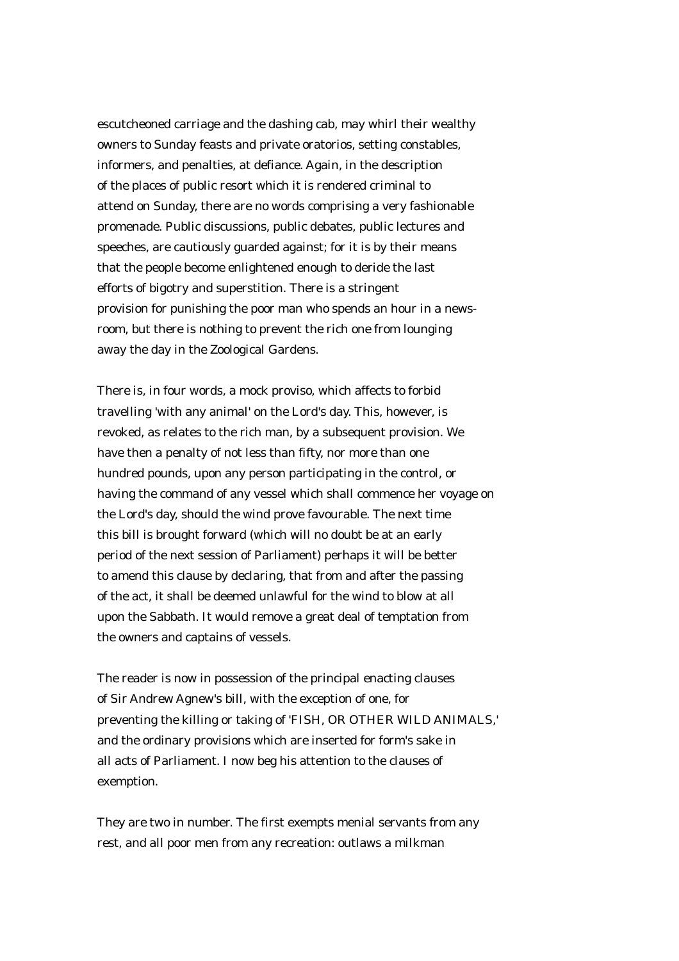escutcheoned carriage and the dashing cab, may whirl their wealthy owners to Sunday feasts and private oratorios, setting constables, informers, and penalties, at defiance. Again, in the description of the places of public resort which it is rendered criminal to attend on Sunday, there are no words comprising a very fashionable promenade. Public discussions, public debates, public lectures and speeches, are cautiously guarded against; for it is by their means that the people become enlightened enough to deride the last efforts of bigotry and superstition. There is a stringent provision for punishing the poor man who spends an hour in a newsroom, but there is nothing to prevent the rich one from lounging away the day in the Zoological Gardens.

There is, in four words, a mock proviso, which affects to forbid travelling 'with any animal' on the Lord's day. This, however, is revoked, as relates to the rich man, by a subsequent provision. We have then a penalty of not less than fifty, nor more than one hundred pounds, upon any person participating in the control, or having the command of any vessel which shall commence her voyage on the Lord's day, should the wind prove favourable. The next time this bill is brought forward (which will no doubt be at an early period of the next session of Parliament) perhaps it will be better to amend this clause by declaring, that from and after the passing of the act, it shall be deemed unlawful for the wind to blow at all upon the Sabbath. It would remove a great deal of temptation from the owners and captains of vessels.

The reader is now in possession of the principal enacting clauses of Sir Andrew Agnew's bill, with the exception of one, for preventing the killing or taking of 'FISH, OR OTHER WILD ANIMALS,' and the ordinary provisions which are inserted for form's sake in all acts of Parliament. I now beg his attention to the clauses of exemption.

They are two in number. The first exempts menial servants from any rest, and all poor men from any recreation: outlaws a milkman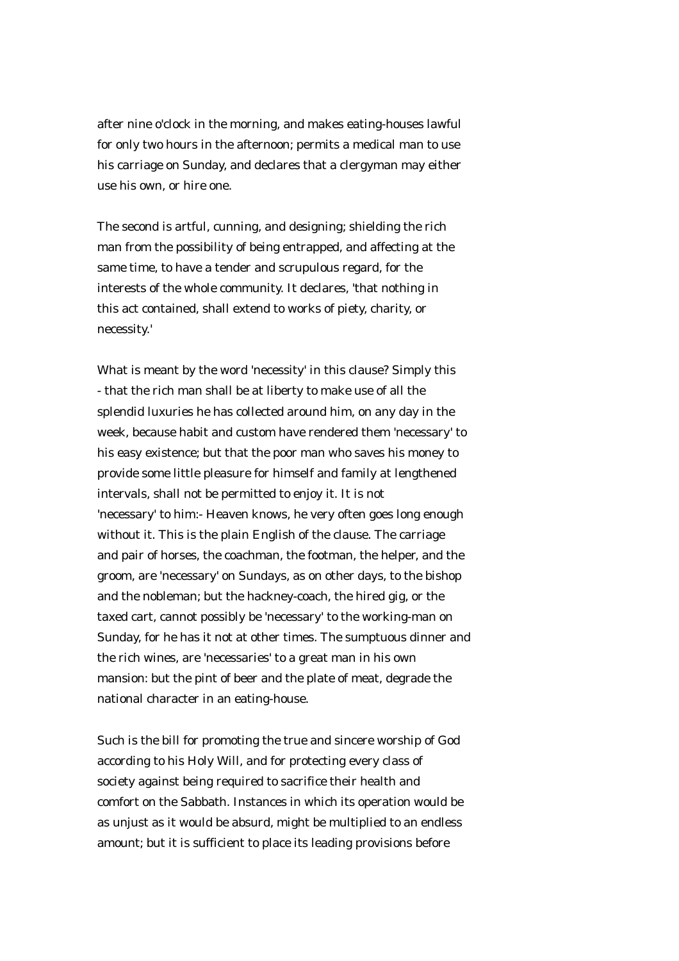after nine o'clock in the morning, and makes eating-houses lawful for only two hours in the afternoon; permits a medical man to use his carriage on Sunday, and declares that a clergyman may either use his own, or hire one.

The second is artful, cunning, and designing; shielding the rich man from the possibility of being entrapped, and affecting at the same time, to have a tender and scrupulous regard, for the interests of the whole community. It declares, 'that nothing in this act contained, shall extend to works of piety, charity, or necessity.'

What is meant by the word 'necessity' in this clause? Simply this - that the rich man shall be at liberty to make use of all the splendid luxuries he has collected around him, on any day in the week, because habit and custom have rendered them 'necessary' to his easy existence; but that the poor man who saves his money to provide some little pleasure for himself and family at lengthened intervals, shall not be permitted to enjoy it. It is not 'necessary' to him:- Heaven knows, he very often goes long enough without it. This is the plain English of the clause. The carriage and pair of horses, the coachman, the footman, the helper, and the groom, are 'necessary' on Sundays, as on other days, to the bishop and the nobleman; but the hackney-coach, the hired gig, or the taxed cart, cannot possibly be 'necessary' to the working-man on Sunday, for he has it not at other times. The sumptuous dinner and the rich wines, are 'necessaries' to a great man in his own mansion: but the pint of beer and the plate of meat, degrade the national character in an eating-house.

Such is the bill for promoting the true and sincere worship of God according to his Holy Will, and for protecting every class of society against being required to sacrifice their health and comfort on the Sabbath. Instances in which its operation would be as unjust as it would be absurd, might be multiplied to an endless amount; but it is sufficient to place its leading provisions before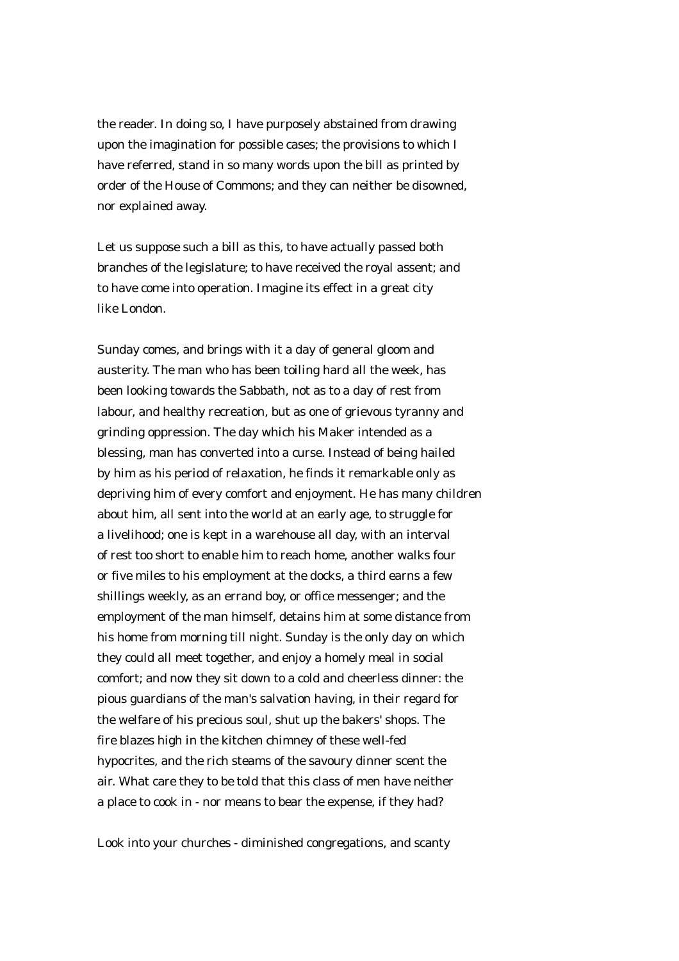the reader. In doing so, I have purposely abstained from drawing upon the imagination for possible cases; the provisions to which I have referred, stand in so many words upon the bill as printed by order of the House of Commons; and they can neither be disowned, nor explained away.

Let us suppose such a bill as this, to have actually passed both branches of the legislature; to have received the royal assent; and to have come into operation. Imagine its effect in a great city like London.

Sunday comes, and brings with it a day of general gloom and austerity. The man who has been toiling hard all the week, has been looking towards the Sabbath, not as to a day of rest from labour, and healthy recreation, but as one of grievous tyranny and grinding oppression. The day which his Maker intended as a blessing, man has converted into a curse. Instead of being hailed by him as his period of relaxation, he finds it remarkable only as depriving him of every comfort and enjoyment. He has many children about him, all sent into the world at an early age, to struggle for a livelihood; one is kept in a warehouse all day, with an interval of rest too short to enable him to reach home, another walks four or five miles to his employment at the docks, a third earns a few shillings weekly, as an errand boy, or office messenger; and the employment of the man himself, detains him at some distance from his home from morning till night. Sunday is the only day on which they could all meet together, and enjoy a homely meal in social comfort; and now they sit down to a cold and cheerless dinner: the pious guardians of the man's salvation having, in their regard for the welfare of his precious soul, shut up the bakers' shops. The fire blazes high in the kitchen chimney of these well-fed hypocrites, and the rich steams of the savoury dinner scent the air. What care they to be told that this class of men have neither a place to cook in - nor means to bear the expense, if they had?

Look into your churches - diminished congregations, and scanty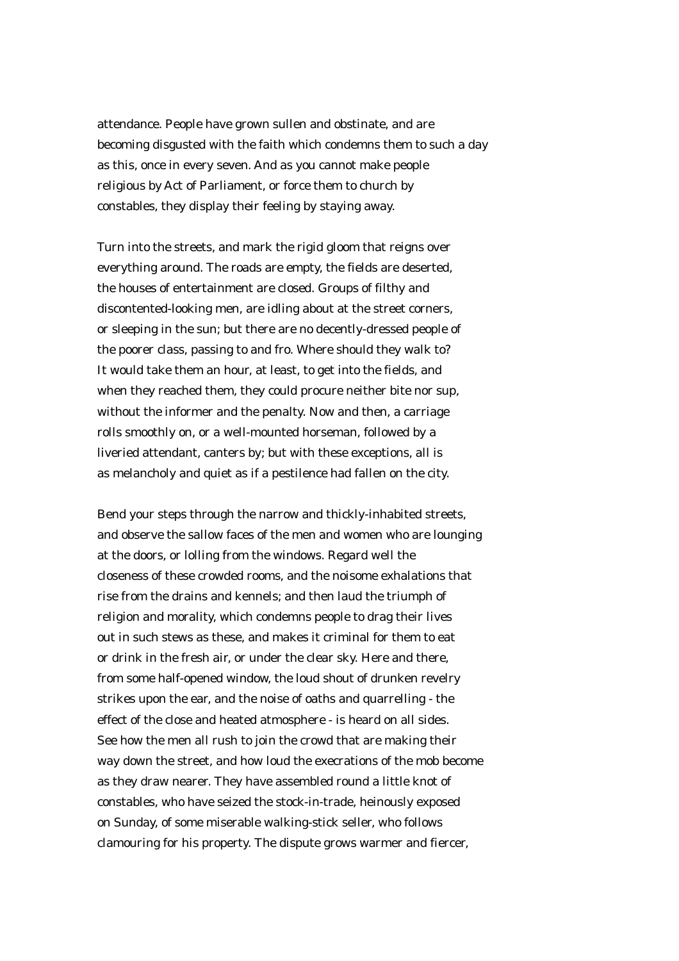attendance. People have grown sullen and obstinate, and are becoming disgusted with the faith which condemns them to such a day as this, once in every seven. And as you cannot make people religious by Act of Parliament, or force them to church by constables, they display their feeling by staying away.

Turn into the streets, and mark the rigid gloom that reigns over everything around. The roads are empty, the fields are deserted, the houses of entertainment are closed. Groups of filthy and discontented-looking men, are idling about at the street corners, or sleeping in the sun; but there are no decently-dressed people of the poorer class, passing to and fro. Where should they walk to? It would take them an hour, at least, to get into the fields, and when they reached them, they could procure neither bite nor sup, without the informer and the penalty. Now and then, a carriage rolls smoothly on, or a well-mounted horseman, followed by a liveried attendant, canters by; but with these exceptions, all is as melancholy and quiet as if a pestilence had fallen on the city.

Bend your steps through the narrow and thickly-inhabited streets, and observe the sallow faces of the men and women who are lounging at the doors, or lolling from the windows. Regard well the closeness of these crowded rooms, and the noisome exhalations that rise from the drains and kennels; and then laud the triumph of religion and morality, which condemns people to drag their lives out in such stews as these, and makes it criminal for them to eat or drink in the fresh air, or under the clear sky. Here and there, from some half-opened window, the loud shout of drunken revelry strikes upon the ear, and the noise of oaths and quarrelling - the effect of the close and heated atmosphere - is heard on all sides. See how the men all rush to join the crowd that are making their way down the street, and how loud the execrations of the mob become as they draw nearer. They have assembled round a little knot of constables, who have seized the stock-in-trade, heinously exposed on Sunday, of some miserable walking-stick seller, who follows clamouring for his property. The dispute grows warmer and fiercer,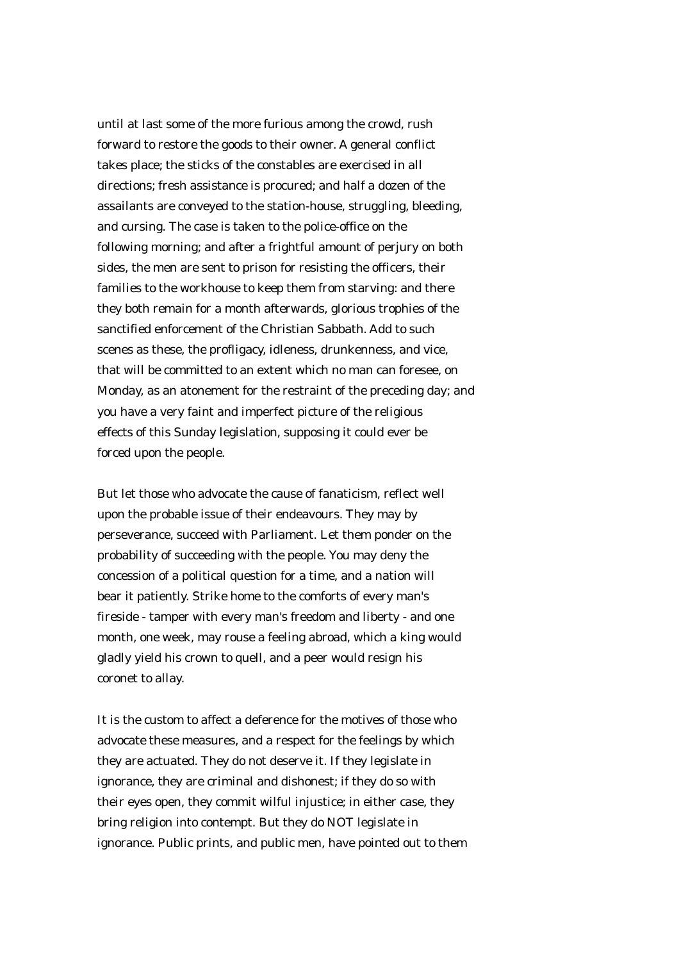until at last some of the more furious among the crowd, rush forward to restore the goods to their owner. A general conflict takes place; the sticks of the constables are exercised in all directions; fresh assistance is procured; and half a dozen of the assailants are conveyed to the station-house, struggling, bleeding, and cursing. The case is taken to the police-office on the following morning; and after a frightful amount of perjury on both sides, the men are sent to prison for resisting the officers, their families to the workhouse to keep them from starving: and there they both remain for a month afterwards, glorious trophies of the sanctified enforcement of the Christian Sabbath. Add to such scenes as these, the profligacy, idleness, drunkenness, and vice, that will be committed to an extent which no man can foresee, on Monday, as an atonement for the restraint of the preceding day; and you have a very faint and imperfect picture of the religious effects of this Sunday legislation, supposing it could ever be forced upon the people.

But let those who advocate the cause of fanaticism, reflect well upon the probable issue of their endeavours. They may by perseverance, succeed with Parliament. Let them ponder on the probability of succeeding with the people. You may deny the concession of a political question for a time, and a nation will bear it patiently. Strike home to the comforts of every man's fireside - tamper with every man's freedom and liberty - and one month, one week, may rouse a feeling abroad, which a king would gladly yield his crown to quell, and a peer would resign his coronet to allay.

It is the custom to affect a deference for the motives of those who advocate these measures, and a respect for the feelings by which they are actuated. They do not deserve it. If they legislate in ignorance, they are criminal and dishonest; if they do so with their eyes open, they commit wilful injustice; in either case, they bring religion into contempt. But they do NOT legislate in ignorance. Public prints, and public men, have pointed out to them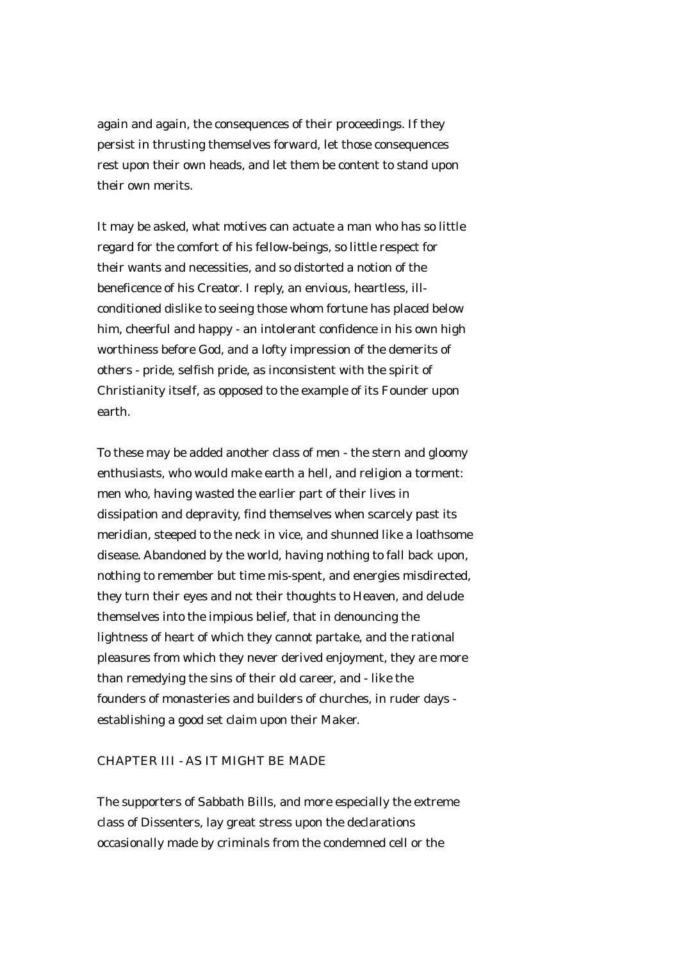again and again, the consequences of their proceedings. If they persist in thrusting themselves forward, let those consequences rest upon their own heads, and let them be content to stand upon their own merits.

It may be asked, what motives can actuate a man who has so little regard for the comfort of his fellow-beings, so little respect for their wants and necessities, and so distorted a notion of the beneficence of his Creator. I reply, an envious, heartless, illconditioned dislike to seeing those whom fortune has placed below him, cheerful and happy - an intolerant confidence in his own high worthiness before God, and a lofty impression of the demerits of others - pride, selfish pride, as inconsistent with the spirit of Christianity itself, as opposed to the example of its Founder upon earth.

To these may be added another class of men - the stern and gloomy enthusiasts, who would make earth a hell, and religion a torment: men who, having wasted the earlier part of their lives in dissipation and depravity, find themselves when scarcely past its meridian, steeped to the neck in vice, and shunned like a loathsome disease. Abandoned by the world, having nothing to fall back upon, nothing to remember but time mis-spent, and energies misdirected, they turn their eyes and not their thoughts to Heaven, and delude themselves into the impious belief, that in denouncing the lightness of heart of which they cannot partake, and the rational pleasures from which they never derived enjoyment, they are more than remedying the sins of their old career, and - like the founders of monasteries and builders of churches, in ruder days establishing a good set claim upon their Maker.

## CHAPTER III - AS IT MIGHT BE MADE

The supporters of Sabbath Bills, and more especially the extreme class of Dissenters, lay great stress upon the declarations occasionally made by criminals from the condemned cell or the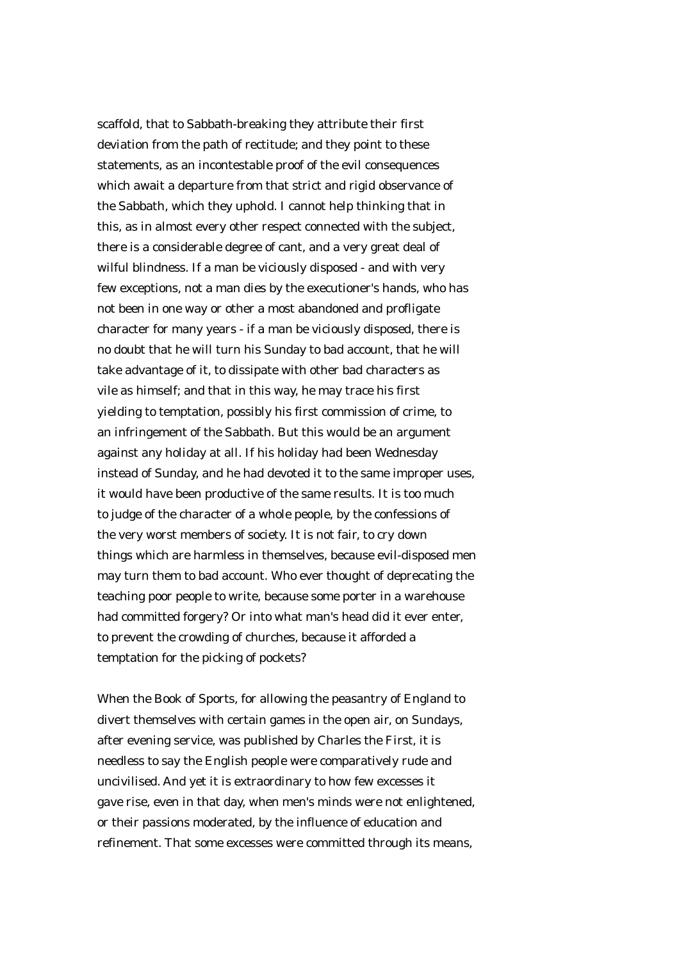scaffold, that to Sabbath-breaking they attribute their first deviation from the path of rectitude; and they point to these statements, as an incontestable proof of the evil consequences which await a departure from that strict and rigid observance of the Sabbath, which they uphold. I cannot help thinking that in this, as in almost every other respect connected with the subject, there is a considerable degree of cant, and a very great deal of wilful blindness. If a man be viciously disposed - and with very few exceptions, not a man dies by the executioner's hands, who has not been in one way or other a most abandoned and profligate character for many years - if a man be viciously disposed, there is no doubt that he will turn his Sunday to bad account, that he will take advantage of it, to dissipate with other bad characters as vile as himself; and that in this way, he may trace his first yielding to temptation, possibly his first commission of crime, to an infringement of the Sabbath. But this would be an argument against any holiday at all. If his holiday had been Wednesday instead of Sunday, and he had devoted it to the same improper uses, it would have been productive of the same results. It is too much to judge of the character of a whole people, by the confessions of the very worst members of society. It is not fair, to cry down things which are harmless in themselves, because evil-disposed men may turn them to bad account. Who ever thought of deprecating the teaching poor people to write, because some porter in a warehouse had committed forgery? Or into what man's head did it ever enter, to prevent the crowding of churches, because it afforded a temptation for the picking of pockets?

When the Book of Sports, for allowing the peasantry of England to divert themselves with certain games in the open air, on Sundays, after evening service, was published by Charles the First, it is needless to say the English people were comparatively rude and uncivilised. And yet it is extraordinary to how few excesses it gave rise, even in that day, when men's minds were not enlightened, or their passions moderated, by the influence of education and refinement. That some excesses were committed through its means,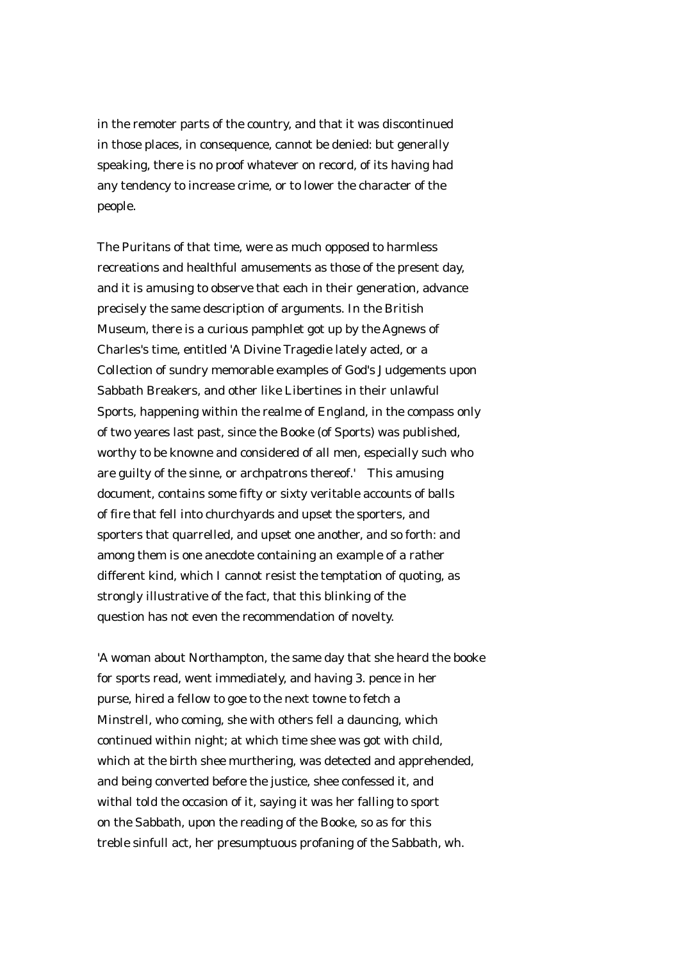in the remoter parts of the country, and that it was discontinued in those places, in consequence, cannot be denied: but generally speaking, there is no proof whatever on record, of its having had any tendency to increase crime, or to lower the character of the people.

The Puritans of that time, were as much opposed to harmless recreations and healthful amusements as those of the present day, and it is amusing to observe that each in their generation, advance precisely the same description of arguments. In the British Museum, there is a curious pamphlet got up by the Agnews of Charles's time, entitled 'A Divine Tragedie lately acted, or a Collection of sundry memorable examples of God's Judgements upon Sabbath Breakers, and other like Libertines in their unlawful Sports, happening within the realme of England, in the compass only of two yeares last past, since the Booke (of Sports) was published, worthy to be knowne and considered of all men, especially such who are guilty of the sinne, or archpatrons thereof.' This amusing document, contains some fifty or sixty veritable accounts of balls of fire that fell into churchyards and upset the sporters, and sporters that quarrelled, and upset one another, and so forth: and among them is one anecdote containing an example of a rather different kind, which I cannot resist the temptation of quoting, as strongly illustrative of the fact, that this blinking of the question has not even the recommendation of novelty.

'A woman about Northampton, the same day that she heard the booke for sports read, went immediately, and having 3. pence in her purse, hired a fellow to goe to the next towne to fetch a Minstrell, who coming, she with others fell a dauncing, which continued within night; at which time shee was got with child, which at the birth shee murthering, was detected and apprehended, and being converted before the justice, shee confessed it, and withal told the occasion of it, saying it was her falling to sport on the Sabbath, upon the reading of the Booke, so as for this treble sinfull act, her presumptuous profaning of the Sabbath, wh.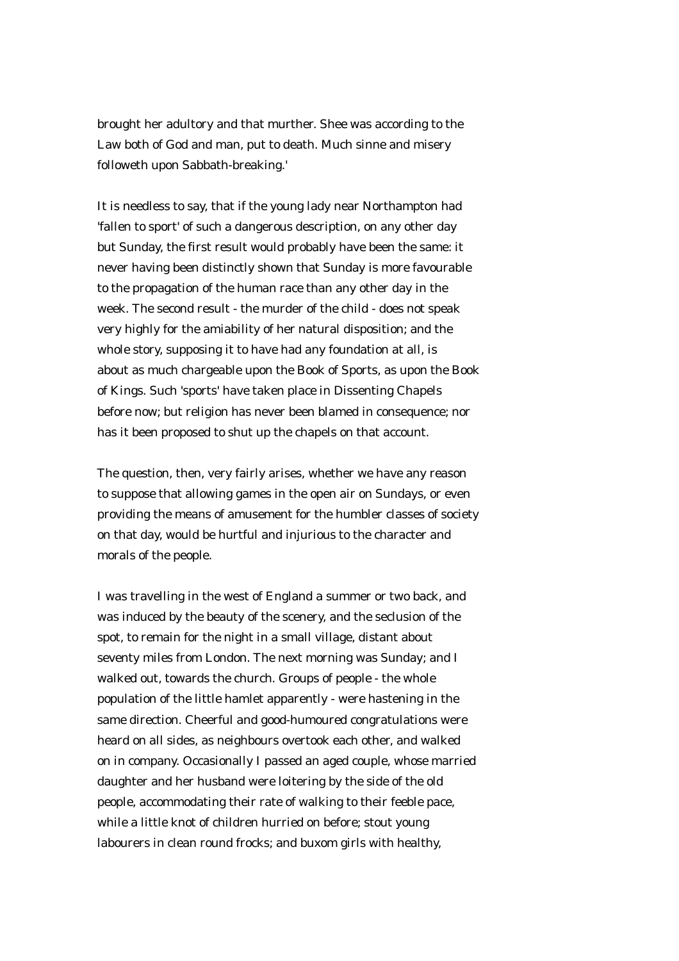brought her adultory and that murther. Shee was according to the Law both of God and man, put to death. Much sinne and misery followeth upon Sabbath-breaking.'

It is needless to say, that if the young lady near Northampton had 'fallen to sport' of such a dangerous description, on any other day but Sunday, the first result would probably have been the same: it never having been distinctly shown that Sunday is more favourable to the propagation of the human race than any other day in the week. The second result - the murder of the child - does not speak very highly for the amiability of her natural disposition; and the whole story, supposing it to have had any foundation at all, is about as much chargeable upon the Book of Sports, as upon the Book of Kings. Such 'sports' have taken place in Dissenting Chapels before now; but religion has never been blamed in consequence; nor has it been proposed to shut up the chapels on that account.

The question, then, very fairly arises, whether we have any reason to suppose that allowing games in the open air on Sundays, or even providing the means of amusement for the humbler classes of society on that day, would be hurtful and injurious to the character and morals of the people.

I was travelling in the west of England a summer or two back, and was induced by the beauty of the scenery, and the seclusion of the spot, to remain for the night in a small village, distant about seventy miles from London. The next morning was Sunday; and I walked out, towards the church. Groups of people - the whole population of the little hamlet apparently - were hastening in the same direction. Cheerful and good-humoured congratulations were heard on all sides, as neighbours overtook each other, and walked on in company. Occasionally I passed an aged couple, whose married daughter and her husband were loitering by the side of the old people, accommodating their rate of walking to their feeble pace, while a little knot of children hurried on before; stout young labourers in clean round frocks; and buxom girls with healthy,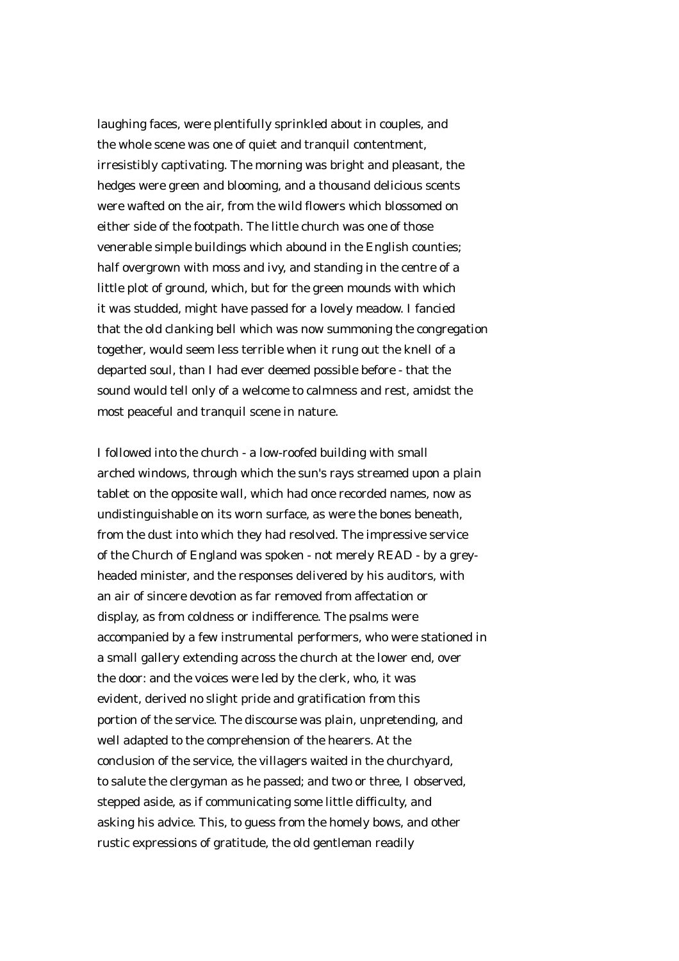laughing faces, were plentifully sprinkled about in couples, and the whole scene was one of quiet and tranquil contentment, irresistibly captivating. The morning was bright and pleasant, the hedges were green and blooming, and a thousand delicious scents were wafted on the air, from the wild flowers which blossomed on either side of the footpath. The little church was one of those venerable simple buildings which abound in the English counties; half overgrown with moss and ivy, and standing in the centre of a little plot of ground, which, but for the green mounds with which it was studded, might have passed for a lovely meadow. I fancied that the old clanking bell which was now summoning the congregation together, would seem less terrible when it rung out the knell of a departed soul, than I had ever deemed possible before - that the sound would tell only of a welcome to calmness and rest, amidst the most peaceful and tranquil scene in nature.

I followed into the church - a low-roofed building with small arched windows, through which the sun's rays streamed upon a plain tablet on the opposite wall, which had once recorded names, now as undistinguishable on its worn surface, as were the bones beneath, from the dust into which they had resolved. The impressive service of the Church of England was spoken - not merely READ - by a greyheaded minister, and the responses delivered by his auditors, with an air of sincere devotion as far removed from affectation or display, as from coldness or indifference. The psalms were accompanied by a few instrumental performers, who were stationed in a small gallery extending across the church at the lower end, over the door: and the voices were led by the clerk, who, it was evident, derived no slight pride and gratification from this portion of the service. The discourse was plain, unpretending, and well adapted to the comprehension of the hearers. At the conclusion of the service, the villagers waited in the churchyard, to salute the clergyman as he passed; and two or three, I observed, stepped aside, as if communicating some little difficulty, and asking his advice. This, to guess from the homely bows, and other rustic expressions of gratitude, the old gentleman readily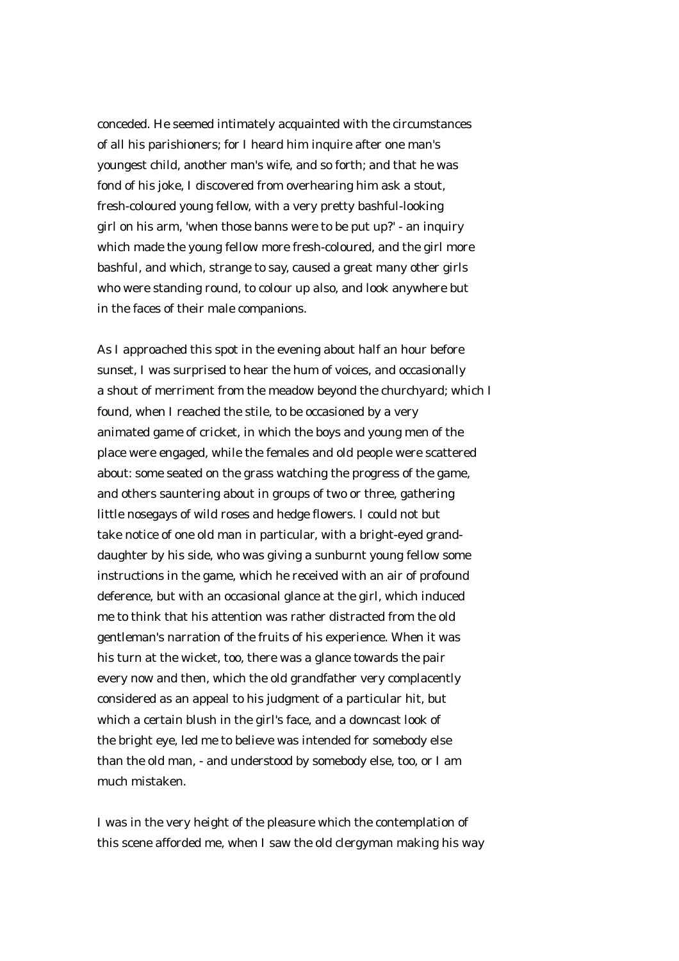conceded. He seemed intimately acquainted with the circumstances of all his parishioners; for I heard him inquire after one man's youngest child, another man's wife, and so forth; and that he was fond of his joke, I discovered from overhearing him ask a stout, fresh-coloured young fellow, with a very pretty bashful-looking girl on his arm, 'when those banns were to be put up?' - an inquiry which made the young fellow more fresh-coloured, and the girl more bashful, and which, strange to say, caused a great many other girls who were standing round, to colour up also, and look anywhere but in the faces of their male companions.

As I approached this spot in the evening about half an hour before sunset, I was surprised to hear the hum of voices, and occasionally a shout of merriment from the meadow beyond the churchyard; which I found, when I reached the stile, to be occasioned by a very animated game of cricket, in which the boys and young men of the place were engaged, while the females and old people were scattered about: some seated on the grass watching the progress of the game, and others sauntering about in groups of two or three, gathering little nosegays of wild roses and hedge flowers. I could not but take notice of one old man in particular, with a bright-eyed granddaughter by his side, who was giving a sunburnt young fellow some instructions in the game, which he received with an air of profound deference, but with an occasional glance at the girl, which induced me to think that his attention was rather distracted from the old gentleman's narration of the fruits of his experience. When it was his turn at the wicket, too, there was a glance towards the pair every now and then, which the old grandfather very complacently considered as an appeal to his judgment of a particular hit, but which a certain blush in the girl's face, and a downcast look of the bright eye, led me to believe was intended for somebody else than the old man, - and understood by somebody else, too, or I am much mistaken.

I was in the very height of the pleasure which the contemplation of this scene afforded me, when I saw the old clergyman making his way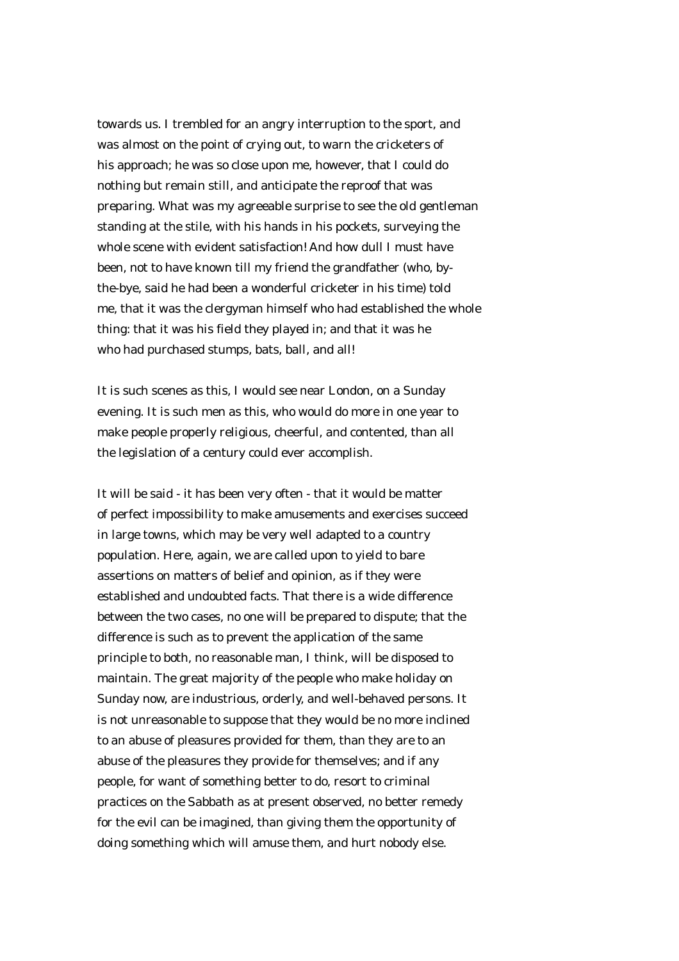towards us. I trembled for an angry interruption to the sport, and was almost on the point of crying out, to warn the cricketers of his approach; he was so close upon me, however, that I could do nothing but remain still, and anticipate the reproof that was preparing. What was my agreeable surprise to see the old gentleman standing at the stile, with his hands in his pockets, surveying the whole scene with evident satisfaction! And how dull I must have been, not to have known till my friend the grandfather (who, bythe-bye, said he had been a wonderful cricketer in his time) told me, that it was the clergyman himself who had established the whole thing: that it was his field they played in; and that it was he who had purchased stumps, bats, ball, and all!

It is such scenes as this, I would see near London, on a Sunday evening. It is such men as this, who would do more in one year to make people properly religious, cheerful, and contented, than all the legislation of a century could ever accomplish.

It will be said - it has been very often - that it would be matter of perfect impossibility to make amusements and exercises succeed in large towns, which may be very well adapted to a country population. Here, again, we are called upon to yield to bare assertions on matters of belief and opinion, as if they were established and undoubted facts. That there is a wide difference between the two cases, no one will be prepared to dispute; that the difference is such as to prevent the application of the same principle to both, no reasonable man, I think, will be disposed to maintain. The great majority of the people who make holiday on Sunday now, are industrious, orderly, and well-behaved persons. It is not unreasonable to suppose that they would be no more inclined to an abuse of pleasures provided for them, than they are to an abuse of the pleasures they provide for themselves; and if any people, for want of something better to do, resort to criminal practices on the Sabbath as at present observed, no better remedy for the evil can be imagined, than giving them the opportunity of doing something which will amuse them, and hurt nobody else.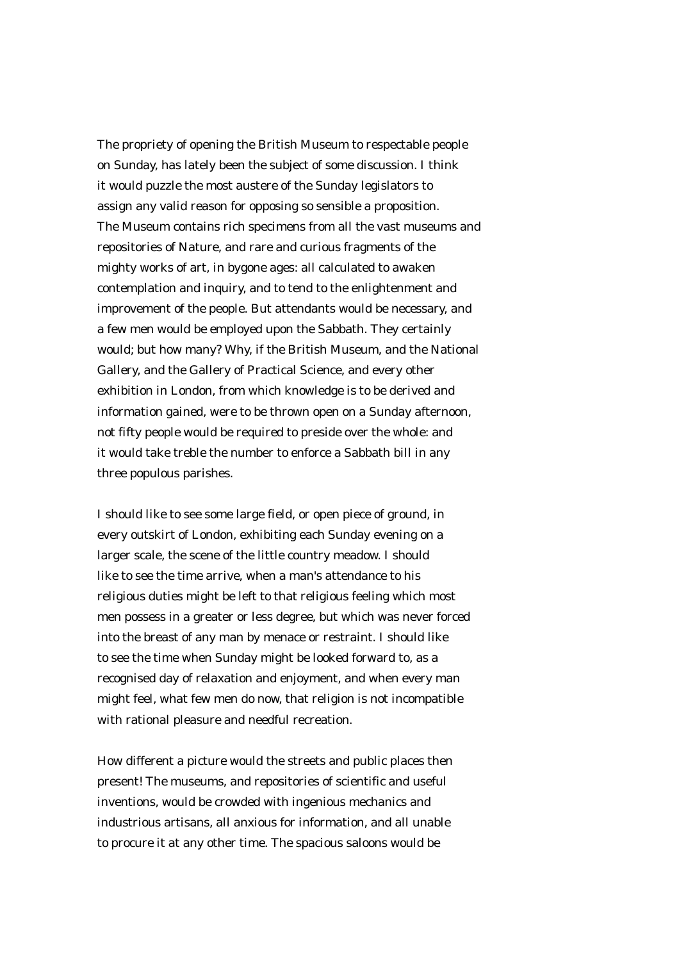The propriety of opening the British Museum to respectable people on Sunday, has lately been the subject of some discussion. I think it would puzzle the most austere of the Sunday legislators to assign any valid reason for opposing so sensible a proposition. The Museum contains rich specimens from all the vast museums and repositories of Nature, and rare and curious fragments of the mighty works of art, in bygone ages: all calculated to awaken contemplation and inquiry, and to tend to the enlightenment and improvement of the people. But attendants would be necessary, and a few men would be employed upon the Sabbath. They certainly would; but how many? Why, if the British Museum, and the National Gallery, and the Gallery of Practical Science, and every other exhibition in London, from which knowledge is to be derived and information gained, were to be thrown open on a Sunday afternoon, not fifty people would be required to preside over the whole: and it would take treble the number to enforce a Sabbath bill in any three populous parishes.

I should like to see some large field, or open piece of ground, in every outskirt of London, exhibiting each Sunday evening on a larger scale, the scene of the little country meadow. I should like to see the time arrive, when a man's attendance to his religious duties might be left to that religious feeling which most men possess in a greater or less degree, but which was never forced into the breast of any man by menace or restraint. I should like to see the time when Sunday might be looked forward to, as a recognised day of relaxation and enjoyment, and when every man might feel, what few men do now, that religion is not incompatible with rational pleasure and needful recreation.

How different a picture would the streets and public places then present! The museums, and repositories of scientific and useful inventions, would be crowded with ingenious mechanics and industrious artisans, all anxious for information, and all unable to procure it at any other time. The spacious saloons would be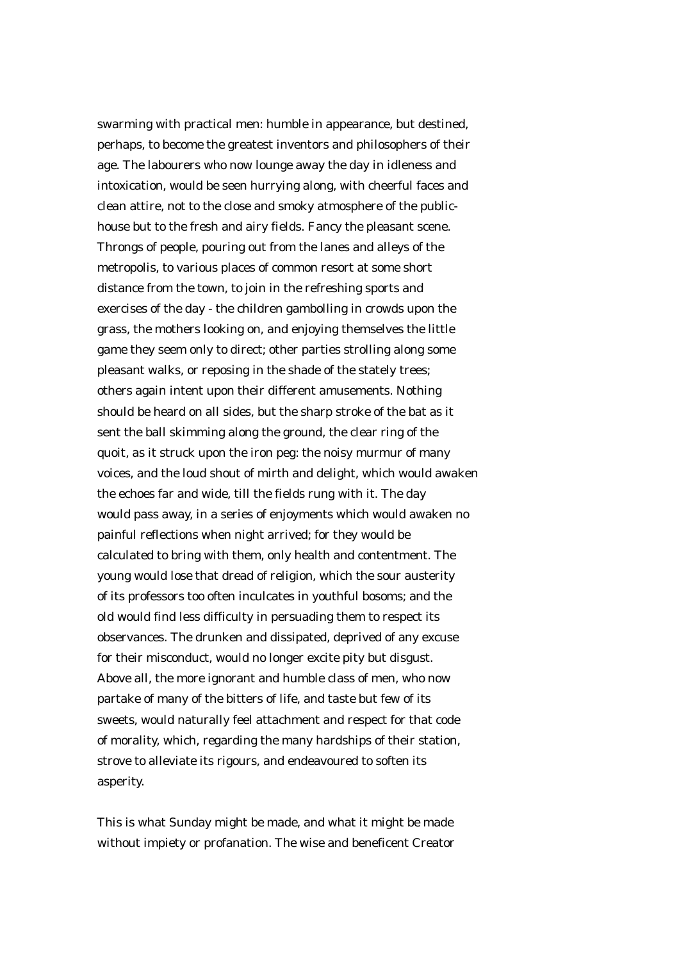swarming with practical men: humble in appearance, but destined, perhaps, to become the greatest inventors and philosophers of their age. The labourers who now lounge away the day in idleness and intoxication, would be seen hurrying along, with cheerful faces and clean attire, not to the close and smoky atmosphere of the publichouse but to the fresh and airy fields. Fancy the pleasant scene. Throngs of people, pouring out from the lanes and alleys of the metropolis, to various places of common resort at some short distance from the town, to join in the refreshing sports and exercises of the day - the children gambolling in crowds upon the grass, the mothers looking on, and enjoying themselves the little game they seem only to direct; other parties strolling along some pleasant walks, or reposing in the shade of the stately trees; others again intent upon their different amusements. Nothing should be heard on all sides, but the sharp stroke of the bat as it sent the ball skimming along the ground, the clear ring of the quoit, as it struck upon the iron peg: the noisy murmur of many voices, and the loud shout of mirth and delight, which would awaken the echoes far and wide, till the fields rung with it. The day would pass away, in a series of enjoyments which would awaken no painful reflections when night arrived; for they would be calculated to bring with them, only health and contentment. The young would lose that dread of religion, which the sour austerity of its professors too often inculcates in youthful bosoms; and the old would find less difficulty in persuading them to respect its observances. The drunken and dissipated, deprived of any excuse for their misconduct, would no longer excite pity but disgust. Above all, the more ignorant and humble class of men, who now partake of many of the bitters of life, and taste but few of its sweets, would naturally feel attachment and respect for that code of morality, which, regarding the many hardships of their station, strove to alleviate its rigours, and endeavoured to soften its asperity.

This is what Sunday might be made, and what it might be made without impiety or profanation. The wise and beneficent Creator